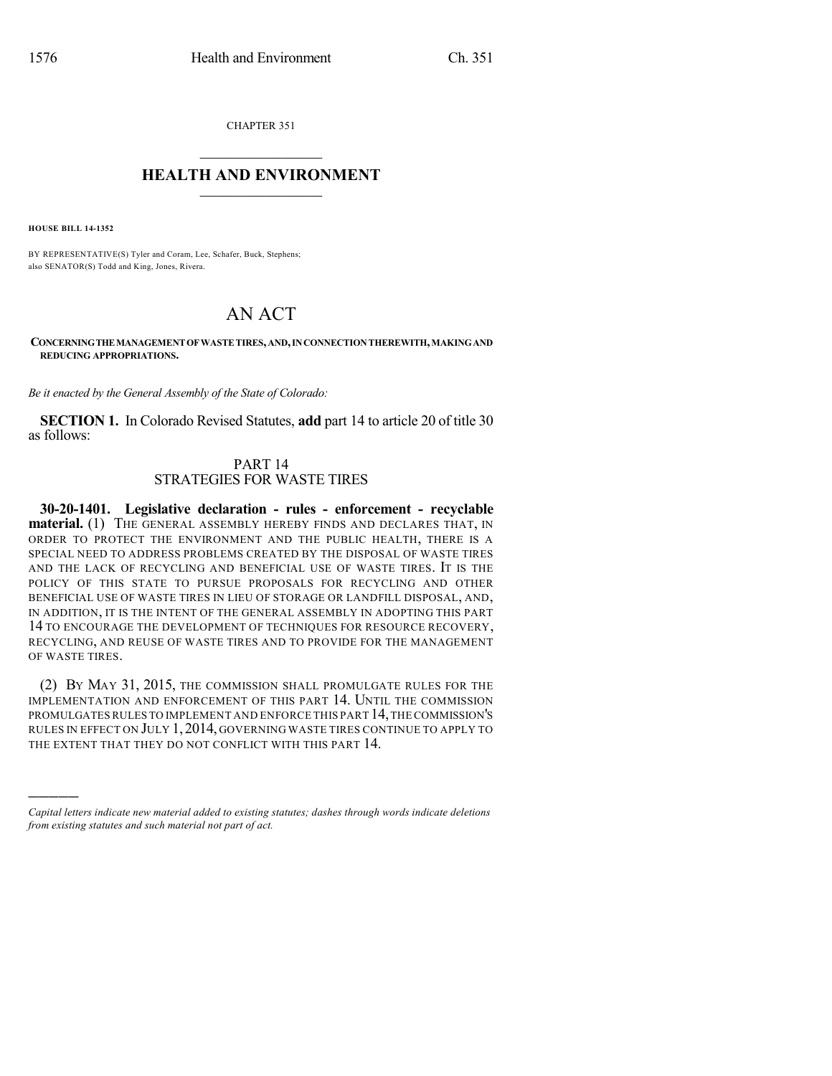CHAPTER 351

## $\mathcal{L}_\text{max}$  . The set of the set of the set of the set of the set of the set of the set of the set of the set of the set of the set of the set of the set of the set of the set of the set of the set of the set of the set **HEALTH AND ENVIRONMENT**  $\_$

**HOUSE BILL 14-1352**

)))))

BY REPRESENTATIVE(S) Tyler and Coram, Lee, Schafer, Buck, Stephens; also SENATOR(S) Todd and King, Jones, Rivera.

# AN ACT

**CONCERNINGTHEMANAGEMENTOFWASTETIRES,AND,INCONNECTIONTHEREWITH,MAKINGAND REDUCING APPROPRIATIONS.**

*Be it enacted by the General Assembly of the State of Colorado:*

**SECTION 1.** In Colorado Revised Statutes, **add** part 14 to article 20 of title 30 as follows:

### PART 14 STRATEGIES FOR WASTE TIRES

**30-20-1401. Legislative declaration - rules - enforcement - recyclable material.** (1) THE GENERAL ASSEMBLY HEREBY FINDS AND DECLARES THAT, IN ORDER TO PROTECT THE ENVIRONMENT AND THE PUBLIC HEALTH, THERE IS A SPECIAL NEED TO ADDRESS PROBLEMS CREATED BY THE DISPOSAL OF WASTE TIRES AND THE LACK OF RECYCLING AND BENEFICIAL USE OF WASTE TIRES. IT IS THE POLICY OF THIS STATE TO PURSUE PROPOSALS FOR RECYCLING AND OTHER BENEFICIAL USE OF WASTE TIRES IN LIEU OF STORAGE OR LANDFILL DISPOSAL, AND, IN ADDITION, IT IS THE INTENT OF THE GENERAL ASSEMBLY IN ADOPTING THIS PART 14 TO ENCOURAGE THE DEVELOPMENT OF TECHNIQUES FOR RESOURCE RECOVERY, RECYCLING, AND REUSE OF WASTE TIRES AND TO PROVIDE FOR THE MANAGEMENT OF WASTE TIRES.

(2) BY MAY 31, 2015, THE COMMISSION SHALL PROMULGATE RULES FOR THE IMPLEMENTATION AND ENFORCEMENT OF THIS PART 14. UNTIL THE COMMISSION PROMULGATESRULES TO IMPLEMENT AND ENFORCE THIS PART 14,THE COMMISSION'S RULES IN EFFECT ON JULY 1,2014, GOVERNING WASTE TIRES CONTINUE TO APPLY TO THE EXTENT THAT THEY DO NOT CONFLICT WITH THIS PART 14.

*Capital letters indicate new material added to existing statutes; dashes through words indicate deletions from existing statutes and such material not part of act.*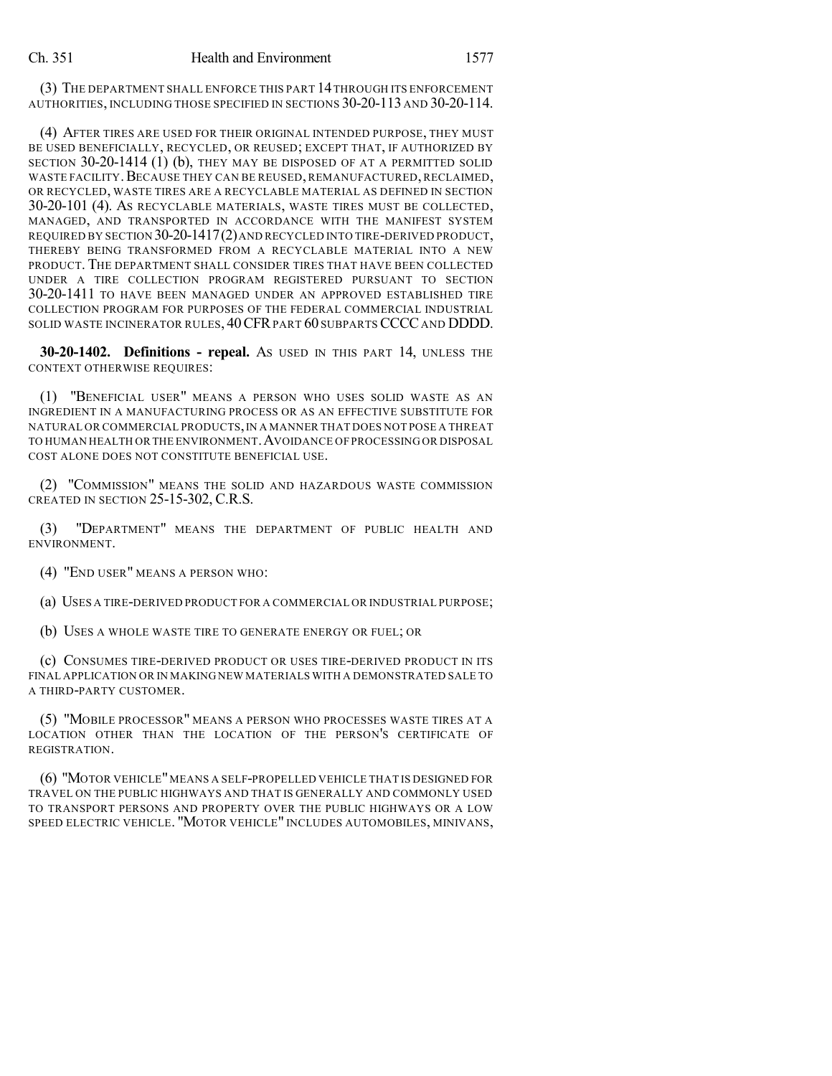(3) THE DEPARTMENT SHALL ENFORCE THIS PART 14THROUGH ITS ENFORCEMENT AUTHORITIES, INCLUDING THOSE SPECIFIED IN SECTIONS 30-20-113 AND 30-20-114.

(4) AFTER TIRES ARE USED FOR THEIR ORIGINAL INTENDED PURPOSE, THEY MUST BE USED BENEFICIALLY, RECYCLED, OR REUSED; EXCEPT THAT, IF AUTHORIZED BY SECTION 30-20-1414 (1) (b), THEY MAY BE DISPOSED OF AT A PERMITTED SOLID WASTE FACILITY. BECAUSE THEY CAN BE REUSED, REMANUFACTURED, RECLAIMED, OR RECYCLED, WASTE TIRES ARE A RECYCLABLE MATERIAL AS DEFINED IN SECTION 30-20-101 (4). AS RECYCLABLE MATERIALS, WASTE TIRES MUST BE COLLECTED, MANAGED, AND TRANSPORTED IN ACCORDANCE WITH THE MANIFEST SYSTEM REQUIRED BY SECTION 30-20-1417(2)AND RECYCLED INTO TIRE-DERIVED PRODUCT, THEREBY BEING TRANSFORMED FROM A RECYCLABLE MATERIAL INTO A NEW PRODUCT. THE DEPARTMENT SHALL CONSIDER TIRES THAT HAVE BEEN COLLECTED UNDER A TIRE COLLECTION PROGRAM REGISTERED PURSUANT TO SECTION 30-20-1411 TO HAVE BEEN MANAGED UNDER AN APPROVED ESTABLISHED TIRE COLLECTION PROGRAM FOR PURPOSES OF THE FEDERAL COMMERCIAL INDUSTRIAL SOLID WASTE INCINERATOR RULES, 40CFRPART 60 SUBPARTSCCCC AND DDDD.

**30-20-1402. Definitions - repeal.** AS USED IN THIS PART 14, UNLESS THE CONTEXT OTHERWISE REQUIRES:

(1) "BENEFICIAL USER" MEANS A PERSON WHO USES SOLID WASTE AS AN INGREDIENT IN A MANUFACTURING PROCESS OR AS AN EFFECTIVE SUBSTITUTE FOR NATURAL OR COMMERCIAL PRODUCTS,IN A MANNER THAT DOES NOT POSE A THREAT TO HUMAN HEALTH OR THE ENVIRONMENT.AVOIDANCE OF PROCESSING OR DISPOSAL COST ALONE DOES NOT CONSTITUTE BENEFICIAL USE.

(2) "COMMISSION" MEANS THE SOLID AND HAZARDOUS WASTE COMMISSION CREATED IN SECTION 25-15-302, C.R.S.

(3) "DEPARTMENT" MEANS THE DEPARTMENT OF PUBLIC HEALTH AND ENVIRONMENT.

(4) "END USER" MEANS A PERSON WHO:

(a) USES A TIRE-DERIVED PRODUCT FOR A COMMERCIAL OR INDUSTRIAL PURPOSE;

(b) USES A WHOLE WASTE TIRE TO GENERATE ENERGY OR FUEL; OR

(c) CONSUMES TIRE-DERIVED PRODUCT OR USES TIRE-DERIVED PRODUCT IN ITS FINAL APPLICATION OR IN MAKING NEW MATERIALS WITH A DEMONSTRATED SALE TO A THIRD-PARTY CUSTOMER.

(5) "MOBILE PROCESSOR" MEANS A PERSON WHO PROCESSES WASTE TIRES AT A LOCATION OTHER THAN THE LOCATION OF THE PERSON'S CERTIFICATE OF REGISTRATION.

(6) "MOTOR VEHICLE"MEANS A SELF-PROPELLED VEHICLE THAT IS DESIGNED FOR TRAVEL ON THE PUBLIC HIGHWAYS AND THAT IS GENERALLY AND COMMONLY USED TO TRANSPORT PERSONS AND PROPERTY OVER THE PUBLIC HIGHWAYS OR A LOW SPEED ELECTRIC VEHICLE. "MOTOR VEHICLE" INCLUDES AUTOMOBILES, MINIVANS,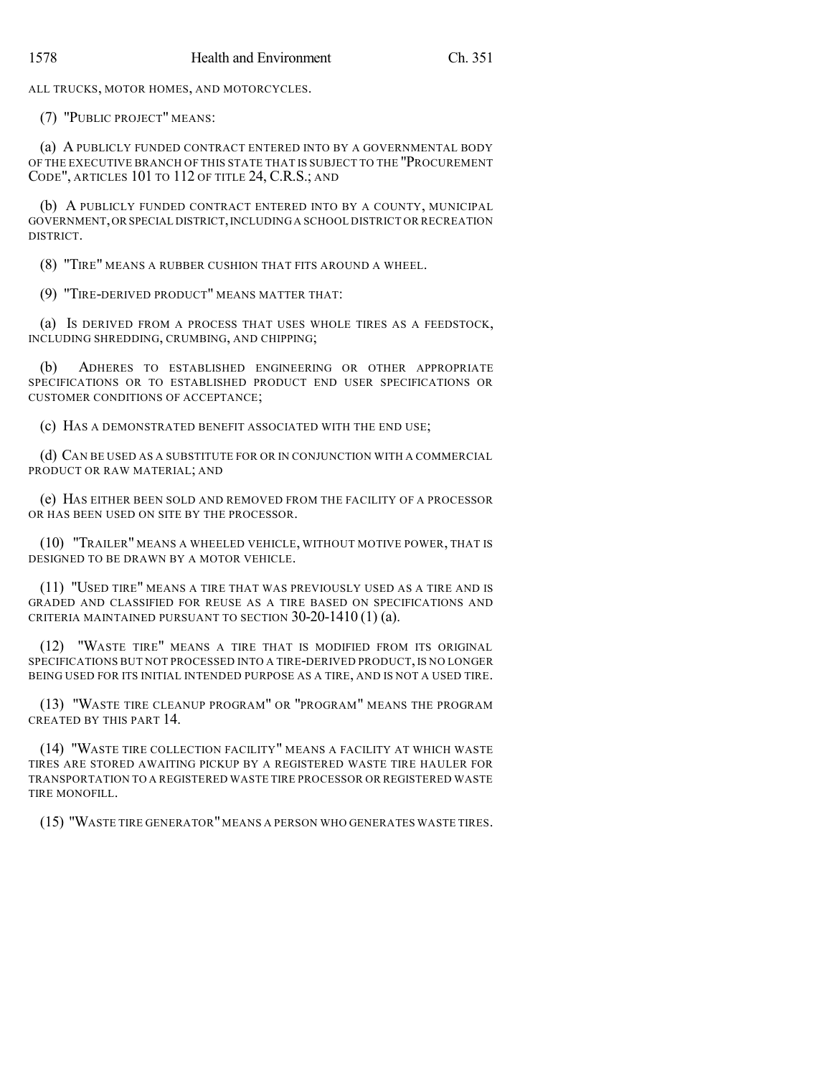ALL TRUCKS, MOTOR HOMES, AND MOTORCYCLES.

(7) "PUBLIC PROJECT" MEANS:

(a) A PUBLICLY FUNDED CONTRACT ENTERED INTO BY A GOVERNMENTAL BODY OF THE EXECUTIVE BRANCH OF THIS STATE THAT IS SUBJECT TO THE "PROCUREMENT CODE", ARTICLES 101 TO 112 OF TITLE 24, C.R.S.; AND

(b) A PUBLICLY FUNDED CONTRACT ENTERED INTO BY A COUNTY, MUNICIPAL GOVERNMENT,OR SPECIAL DISTRICT,INCLUDING A SCHOOL DISTRICT OR RECREATION DISTRICT.

(8) "TIRE" MEANS A RUBBER CUSHION THAT FITS AROUND A WHEEL.

(9) "TIRE-DERIVED PRODUCT" MEANS MATTER THAT:

(a) IS DERIVED FROM A PROCESS THAT USES WHOLE TIRES AS A FEEDSTOCK, INCLUDING SHREDDING, CRUMBING, AND CHIPPING;

(b) ADHERES TO ESTABLISHED ENGINEERING OR OTHER APPROPRIATE SPECIFICATIONS OR TO ESTABLISHED PRODUCT END USER SPECIFICATIONS OR CUSTOMER CONDITIONS OF ACCEPTANCE;

(c) HAS A DEMONSTRATED BENEFIT ASSOCIATED WITH THE END USE;

(d) CAN BE USED AS A SUBSTITUTE FOR OR IN CONJUNCTION WITH A COMMERCIAL PRODUCT OR RAW MATERIAL; AND

(e) HAS EITHER BEEN SOLD AND REMOVED FROM THE FACILITY OF A PROCESSOR OR HAS BEEN USED ON SITE BY THE PROCESSOR.

(10) "TRAILER" MEANS A WHEELED VEHICLE, WITHOUT MOTIVE POWER, THAT IS DESIGNED TO BE DRAWN BY A MOTOR VEHICLE.

(11) "USED TIRE" MEANS A TIRE THAT WAS PREVIOUSLY USED AS A TIRE AND IS GRADED AND CLASSIFIED FOR REUSE AS A TIRE BASED ON SPECIFICATIONS AND CRITERIA MAINTAINED PURSUANT TO SECTION 30-20-1410 (1) (a).

(12) "WASTE TIRE" MEANS A TIRE THAT IS MODIFIED FROM ITS ORIGINAL SPECIFICATIONS BUT NOT PROCESSED INTO A TIRE-DERIVED PRODUCT, IS NO LONGER BEING USED FOR ITS INITIAL INTENDED PURPOSE AS A TIRE, AND IS NOT A USED TIRE.

(13) "WASTE TIRE CLEANUP PROGRAM" OR "PROGRAM" MEANS THE PROGRAM CREATED BY THIS PART 14.

(14) "WASTE TIRE COLLECTION FACILITY" MEANS A FACILITY AT WHICH WASTE TIRES ARE STORED AWAITING PICKUP BY A REGISTERED WASTE TIRE HAULER FOR TRANSPORTATION TO A REGISTERED WASTE TIRE PROCESSOR OR REGISTERED WASTE TIRE MONOFILL.

(15) "WASTE TIRE GENERATOR"MEANS A PERSON WHO GENERATES WASTE TIRES.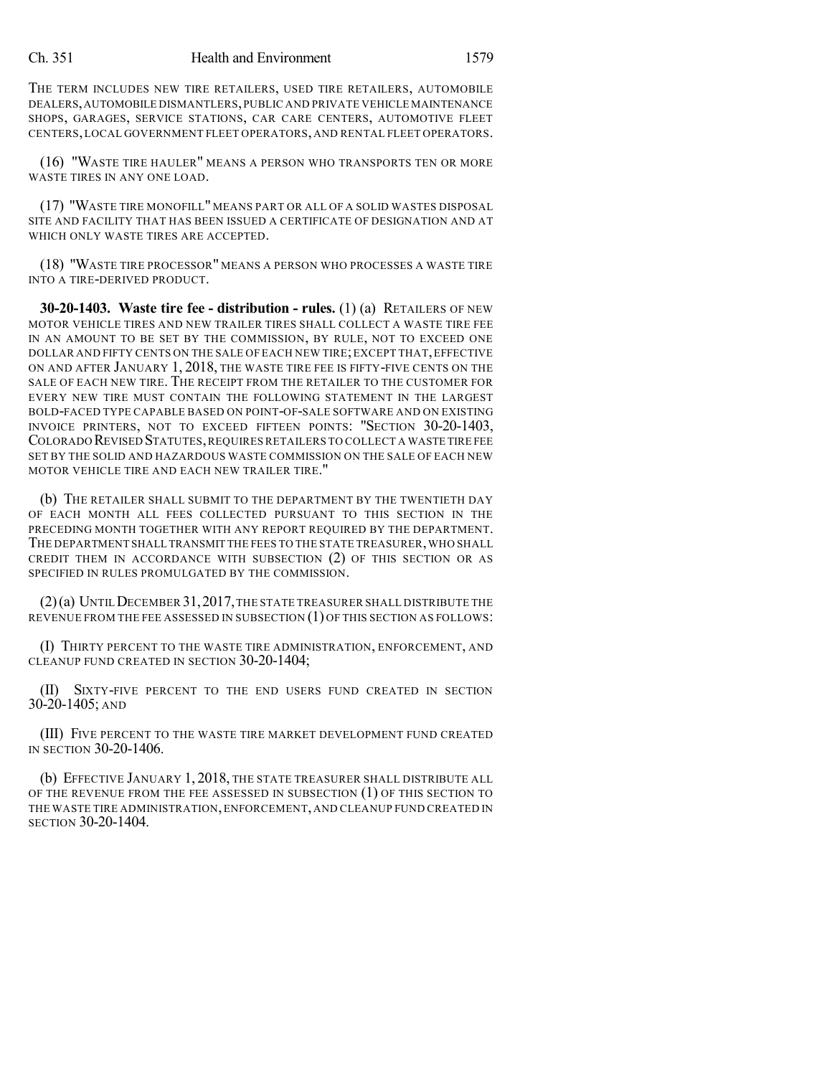THE TERM INCLUDES NEW TIRE RETAILERS, USED TIRE RETAILERS, AUTOMOBILE DEALERS,AUTOMOBILE DISMANTLERS,PUBLIC AND PRIVATE VEHICLE MAINTENANCE SHOPS, GARAGES, SERVICE STATIONS, CAR CARE CENTERS, AUTOMOTIVE FLEET CENTERS,LOCAL GOVERNMENT FLEET OPERATORS, AND RENTAL FLEET OPERATORS.

(16) "WASTE TIRE HAULER" MEANS A PERSON WHO TRANSPORTS TEN OR MORE WASTE TIRES IN ANY ONE LOAD.

(17) "WASTE TIRE MONOFILL" MEANS PART OR ALL OF A SOLID WASTES DISPOSAL SITE AND FACILITY THAT HAS BEEN ISSUED A CERTIFICATE OF DESIGNATION AND AT WHICH ONLY WASTE TIRES ARE ACCEPTED.

(18) "WASTE TIRE PROCESSOR" MEANS A PERSON WHO PROCESSES A WASTE TIRE INTO A TIRE-DERIVED PRODUCT.

**30-20-1403. Waste tire fee - distribution - rules.** (1) (a) RETAILERS OF NEW MOTOR VEHICLE TIRES AND NEW TRAILER TIRES SHALL COLLECT A WASTE TIRE FEE IN AN AMOUNT TO BE SET BY THE COMMISSION, BY RULE, NOT TO EXCEED ONE DOLLAR AND FIFTY CENTS ON THE SALE OF EACH NEW TIRE; EXCEPT THAT, EFFECTIVE ON AND AFTER JANUARY 1, 2018, THE WASTE TIRE FEE IS FIFTY-FIVE CENTS ON THE SALE OF EACH NEW TIRE. THE RECEIPT FROM THE RETAILER TO THE CUSTOMER FOR EVERY NEW TIRE MUST CONTAIN THE FOLLOWING STATEMENT IN THE LARGEST BOLD-FACED TYPE CAPABLE BASED ON POINT-OF-SALE SOFTWARE AND ON EXISTING INVOICE PRINTERS, NOT TO EXCEED FIFTEEN POINTS: "SECTION 30-20-1403, COLORADO REVISED STATUTES,REQUIRES RETAILERS TO COLLECT A WASTE TIRE FEE SET BY THE SOLID AND HAZARDOUS WASTE COMMISSION ON THE SALE OF EACH NEW MOTOR VEHICLE TIRE AND EACH NEW TRAILER TIRE."

(b) THE RETAILER SHALL SUBMIT TO THE DEPARTMENT BY THE TWENTIETH DAY OF EACH MONTH ALL FEES COLLECTED PURSUANT TO THIS SECTION IN THE PRECEDING MONTH TOGETHER WITH ANY REPORT REQUIRED BY THE DEPARTMENT. THE DEPARTMENT SHALL TRANSMIT THE FEES TO THE STATE TREASURER,WHO SHALL CREDIT THEM IN ACCORDANCE WITH SUBSECTION (2) OF THIS SECTION OR AS SPECIFIED IN RULES PROMULGATED BY THE COMMISSION.

(2)(a) UNTILDECEMBER 31,2017,THE STATE TREASURER SHALL DISTRIBUTE THE REVENUE FROM THE FEE ASSESSED IN SUBSECTION (1) OF THIS SECTION AS FOLLOWS:

(I) THIRTY PERCENT TO THE WASTE TIRE ADMINISTRATION, ENFORCEMENT, AND CLEANUP FUND CREATED IN SECTION 30-20-1404;

(II) SIXTY-FIVE PERCENT TO THE END USERS FUND CREATED IN SECTION 30-20-1405; AND

(III) FIVE PERCENT TO THE WASTE TIRE MARKET DEVELOPMENT FUND CREATED IN SECTION 30-20-1406.

(b) EFFECTIVE JANUARY 1, 2018, THE STATE TREASURER SHALL DISTRIBUTE ALL OF THE REVENUE FROM THE FEE ASSESSED IN SUBSECTION (1) OF THIS SECTION TO THE WASTE TIRE ADMINISTRATION,ENFORCEMENT, AND CLEANUP FUND CREATED IN SECTION 30-20-1404.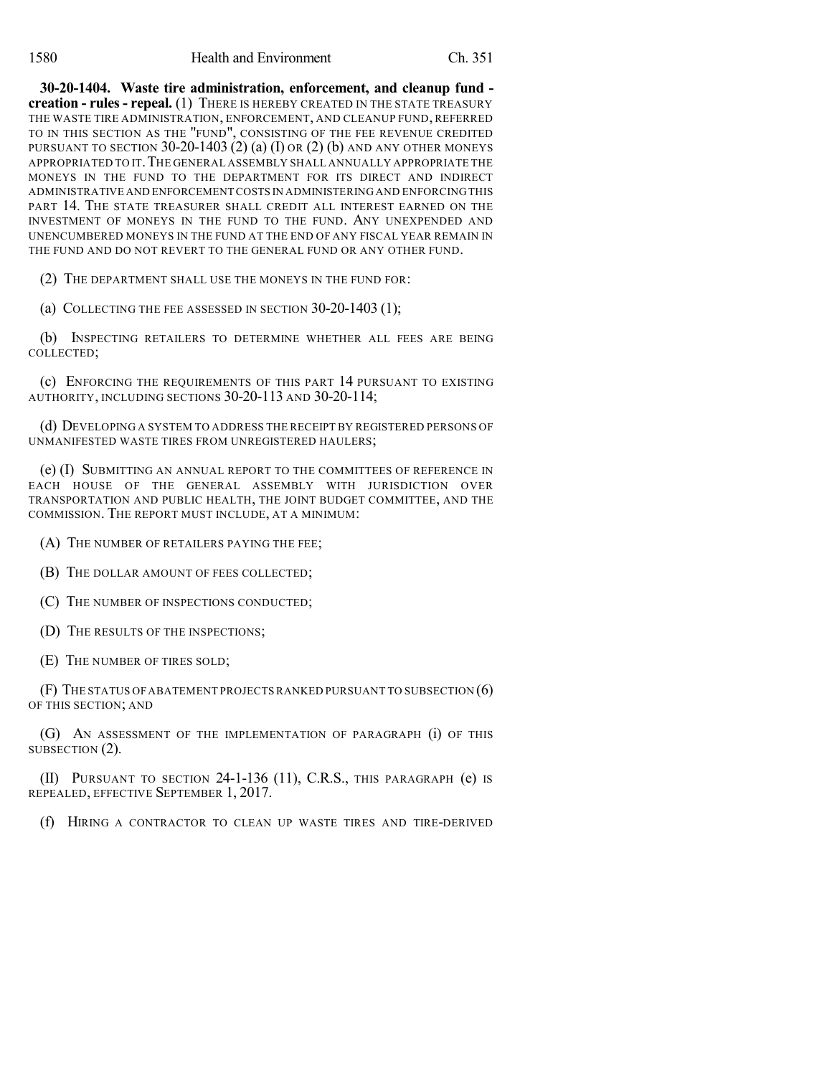**30-20-1404. Waste tire administration, enforcement, and cleanup fund creation - rules - repeal.** (1) THERE IS HEREBY CREATED IN THE STATE TREASURY THE WASTE TIRE ADMINISTRATION, ENFORCEMENT, AND CLEANUP FUND, REFERRED TO IN THIS SECTION AS THE "FUND", CONSISTING OF THE FEE REVENUE CREDITED PURSUANT TO SECTION  $30-20-1403$  (2) (a) (I) OR (2) (b) AND ANY OTHER MONEYS APPROPRIATED TO IT. THE GENERAL ASSEMBLY SHALL ANNUALLY APPROPRIATE THE MONEYS IN THE FUND TO THE DEPARTMENT FOR ITS DIRECT AND INDIRECT ADMINISTRATIVE AND ENFORCEMENT COSTS IN ADMINISTERING AND ENFORCINGTHIS PART 14. THE STATE TREASURER SHALL CREDIT ALL INTEREST EARNED ON THE INVESTMENT OF MONEYS IN THE FUND TO THE FUND. ANY UNEXPENDED AND UNENCUMBERED MONEYS IN THE FUND AT THE END OF ANY FISCAL YEAR REMAIN IN THE FUND AND DO NOT REVERT TO THE GENERAL FUND OR ANY OTHER FUND.

(2) THE DEPARTMENT SHALL USE THE MONEYS IN THE FUND FOR:

(a) COLLECTING THE FEE ASSESSED IN SECTION 30-20-1403 (1);

(b) INSPECTING RETAILERS TO DETERMINE WHETHER ALL FEES ARE BEING COLLECTED;

(c) ENFORCING THE REQUIREMENTS OF THIS PART 14 PURSUANT TO EXISTING AUTHORITY, INCLUDING SECTIONS 30-20-113 AND 30-20-114;

(d) DEVELOPING A SYSTEM TO ADDRESS THE RECEIPT BY REGISTERED PERSONS OF UNMANIFESTED WASTE TIRES FROM UNREGISTERED HAULERS;

(e) (I) SUBMITTING AN ANNUAL REPORT TO THE COMMITTEES OF REFERENCE IN EACH HOUSE OF THE GENERAL ASSEMBLY WITH JURISDICTION OVER TRANSPORTATION AND PUBLIC HEALTH, THE JOINT BUDGET COMMITTEE, AND THE COMMISSION. THE REPORT MUST INCLUDE, AT A MINIMUM:

- (A) THE NUMBER OF RETAILERS PAYING THE FEE;
- (B) THE DOLLAR AMOUNT OF FEES COLLECTED;
- (C) THE NUMBER OF INSPECTIONS CONDUCTED;
- (D) THE RESULTS OF THE INSPECTIONS;
- (E) THE NUMBER OF TIRES SOLD;

(F) THE STATUS OFABATEMENT PROJECTS RANKED PURSUANT TO SUBSECTION (6) OF THIS SECTION; AND

(G) AN ASSESSMENT OF THE IMPLEMENTATION OF PARAGRAPH (i) OF THIS SUBSECTION (2).

(II) PURSUANT TO SECTION 24-1-136 (11), C.R.S., THIS PARAGRAPH (e) IS REPEALED, EFFECTIVE SEPTEMBER 1, 2017.

(f) HIRING A CONTRACTOR TO CLEAN UP WASTE TIRES AND TIRE-DERIVED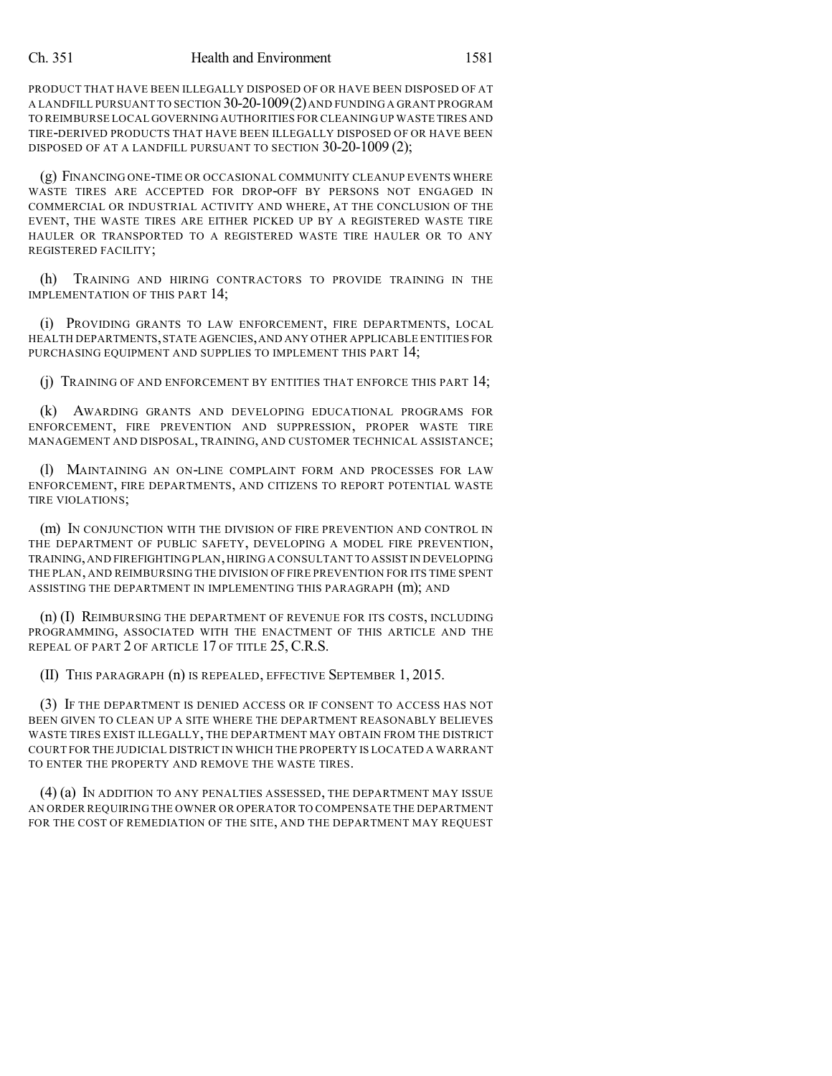PRODUCT THAT HAVE BEEN ILLEGALLY DISPOSED OF OR HAVE BEEN DISPOSED OF AT A LANDFILL PURSUANT TO SECTION 30-20-1009(2)AND FUNDING A GRANT PROGRAM TO REIMBURSE LOCAL GOVERNING AUTHORITIES FOR CLEANING UP WASTE TIRES AND TIRE-DERIVED PRODUCTS THAT HAVE BEEN ILLEGALLY DISPOSED OF OR HAVE BEEN DISPOSED OF AT A LANDFILL PURSUANT TO SECTION 30-20-1009 (2);

(g) FINANCING ONE-TIME OR OCCASIONAL COMMUNITY CLEANUP EVENTS WHERE WASTE TIRES ARE ACCEPTED FOR DROP-OFF BY PERSONS NOT ENGAGED IN COMMERCIAL OR INDUSTRIAL ACTIVITY AND WHERE, AT THE CONCLUSION OF THE EVENT, THE WASTE TIRES ARE EITHER PICKED UP BY A REGISTERED WASTE TIRE HAULER OR TRANSPORTED TO A REGISTERED WASTE TIRE HAULER OR TO ANY REGISTERED FACILITY;

(h) TRAINING AND HIRING CONTRACTORS TO PROVIDE TRAINING IN THE IMPLEMENTATION OF THIS PART 14;

(i) PROVIDING GRANTS TO LAW ENFORCEMENT, FIRE DEPARTMENTS, LOCAL HEALTH DEPARTMENTS,STATE AGENCIES,AND ANY OTHER APPLICABLE ENTITIES FOR PURCHASING EQUIPMENT AND SUPPLIES TO IMPLEMENT THIS PART 14;

(j) TRAINING OF AND ENFORCEMENT BY ENTITIES THAT ENFORCE THIS PART 14;

(k) AWARDING GRANTS AND DEVELOPING EDUCATIONAL PROGRAMS FOR ENFORCEMENT, FIRE PREVENTION AND SUPPRESSION, PROPER WASTE TIRE MANAGEMENT AND DISPOSAL, TRAINING, AND CUSTOMER TECHNICAL ASSISTANCE;

(l) MAINTAINING AN ON-LINE COMPLAINT FORM AND PROCESSES FOR LAW ENFORCEMENT, FIRE DEPARTMENTS, AND CITIZENS TO REPORT POTENTIAL WASTE TIRE VIOLATIONS;

(m) IN CONJUNCTION WITH THE DIVISION OF FIRE PREVENTION AND CONTROL IN THE DEPARTMENT OF PUBLIC SAFETY, DEVELOPING A MODEL FIRE PREVENTION, TRAINING,AND FIREFIGHTING PLAN,HIRING A CONSULTANT TO ASSIST IN DEVELOPING THE PLAN, AND REIMBURSING THE DIVISION OF FIRE PREVENTION FOR ITS TIME SPENT ASSISTING THE DEPARTMENT IN IMPLEMENTING THIS PARAGRAPH (m); AND

(n) (I) REIMBURSING THE DEPARTMENT OF REVENUE FOR ITS COSTS, INCLUDING PROGRAMMING, ASSOCIATED WITH THE ENACTMENT OF THIS ARTICLE AND THE REPEAL OF PART 2 OF ARTICLE 17 OF TITLE 25, C.R.S.

(II) THIS PARAGRAPH (n) IS REPEALED, EFFECTIVE SEPTEMBER 1, 2015.

(3) IF THE DEPARTMENT IS DENIED ACCESS OR IF CONSENT TO ACCESS HAS NOT BEEN GIVEN TO CLEAN UP A SITE WHERE THE DEPARTMENT REASONABLY BELIEVES WASTE TIRES EXIST ILLEGALLY, THE DEPARTMENT MAY OBTAIN FROM THE DISTRICT COURT FOR THE JUDICIAL DISTRICT IN WHICH THE PROPERTY IS LOCATED A WARRANT TO ENTER THE PROPERTY AND REMOVE THE WASTE TIRES.

(4) (a) IN ADDITION TO ANY PENALTIES ASSESSED, THE DEPARTMENT MAY ISSUE AN ORDER REQUIRING THE OWNER OR OPERATOR TO COMPENSATE THE DEPARTMENT FOR THE COST OF REMEDIATION OF THE SITE, AND THE DEPARTMENT MAY REQUEST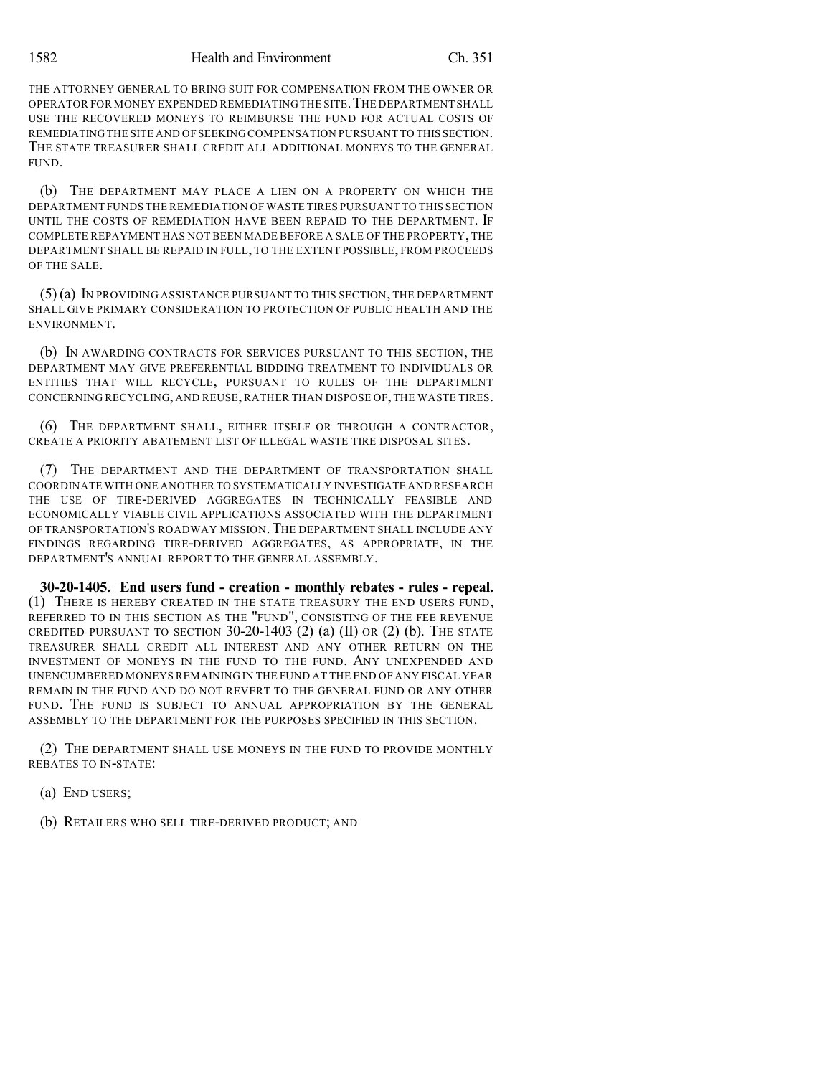THE ATTORNEY GENERAL TO BRING SUIT FOR COMPENSATION FROM THE OWNER OR OPERATOR FOR MONEY EXPENDED REMEDIATINGTHE SITE.THE DEPARTMENT SHALL USE THE RECOVERED MONEYS TO REIMBURSE THE FUND FOR ACTUAL COSTS OF REMEDIATINGTHE SITE AND OFSEEKINGCOMPENSATION PURSUANT TO THIS SECTION. THE STATE TREASURER SHALL CREDIT ALL ADDITIONAL MONEYS TO THE GENERAL FUND.

(b) THE DEPARTMENT MAY PLACE A LIEN ON A PROPERTY ON WHICH THE DEPARTMENT FUNDS THE REMEDIATION OF WASTE TIRES PURSUANT TO THIS SECTION UNTIL THE COSTS OF REMEDIATION HAVE BEEN REPAID TO THE DEPARTMENT. IF COMPLETE REPAYMENT HAS NOT BEEN MADE BEFORE A SALE OF THE PROPERTY, THE DEPARTMENT SHALL BE REPAID IN FULL, TO THE EXTENT POSSIBLE, FROM PROCEEDS OF THE SALE.

(5) (a) IN PROVIDING ASSISTANCE PURSUANT TO THIS SECTION, THE DEPARTMENT SHALL GIVE PRIMARY CONSIDERATION TO PROTECTION OF PUBLIC HEALTH AND THE ENVIRONMENT.

(b) IN AWARDING CONTRACTS FOR SERVICES PURSUANT TO THIS SECTION, THE DEPARTMENT MAY GIVE PREFERENTIAL BIDDING TREATMENT TO INDIVIDUALS OR ENTITIES THAT WILL RECYCLE, PURSUANT TO RULES OF THE DEPARTMENT CONCERNING RECYCLING, AND REUSE, RATHER THAN DISPOSE OF, THE WASTE TIRES.

(6) THE DEPARTMENT SHALL, EITHER ITSELF OR THROUGH A CONTRACTOR, CREATE A PRIORITY ABATEMENT LIST OF ILLEGAL WASTE TIRE DISPOSAL SITES.

(7) THE DEPARTMENT AND THE DEPARTMENT OF TRANSPORTATION SHALL COORDINATE WITH ONE ANOTHER TO SYSTEMATICALLY INVESTIGATE AND RESEARCH THE USE OF TIRE-DERIVED AGGREGATES IN TECHNICALLY FEASIBLE AND ECONOMICALLY VIABLE CIVIL APPLICATIONS ASSOCIATED WITH THE DEPARTMENT OF TRANSPORTATION'S ROADWAY MISSION.THE DEPARTMENT SHALL INCLUDE ANY FINDINGS REGARDING TIRE-DERIVED AGGREGATES, AS APPROPRIATE, IN THE DEPARTMENT'S ANNUAL REPORT TO THE GENERAL ASSEMBLY.

**30-20-1405. End users fund - creation - monthly rebates - rules - repeal.** (1) THERE IS HEREBY CREATED IN THE STATE TREASURY THE END USERS FUND, REFERRED TO IN THIS SECTION AS THE "FUND", CONSISTING OF THE FEE REVENUE CREDITED PURSUANT TO SECTION  $30-20-1403$  (2) (a) (II) OR (2) (b). THE STATE TREASURER SHALL CREDIT ALL INTEREST AND ANY OTHER RETURN ON THE INVESTMENT OF MONEYS IN THE FUND TO THE FUND. ANY UNEXPENDED AND UNENCUMBERED MONEYS REMAINING IN THE FUND AT THE END OF ANY FISCAL YEAR REMAIN IN THE FUND AND DO NOT REVERT TO THE GENERAL FUND OR ANY OTHER FUND. THE FUND IS SUBJECT TO ANNUAL APPROPRIATION BY THE GENERAL ASSEMBLY TO THE DEPARTMENT FOR THE PURPOSES SPECIFIED IN THIS SECTION.

(2) THE DEPARTMENT SHALL USE MONEYS IN THE FUND TO PROVIDE MONTHLY REBATES TO IN-STATE:

(a) END USERS;

(b) RETAILERS WHO SELL TIRE-DERIVED PRODUCT; AND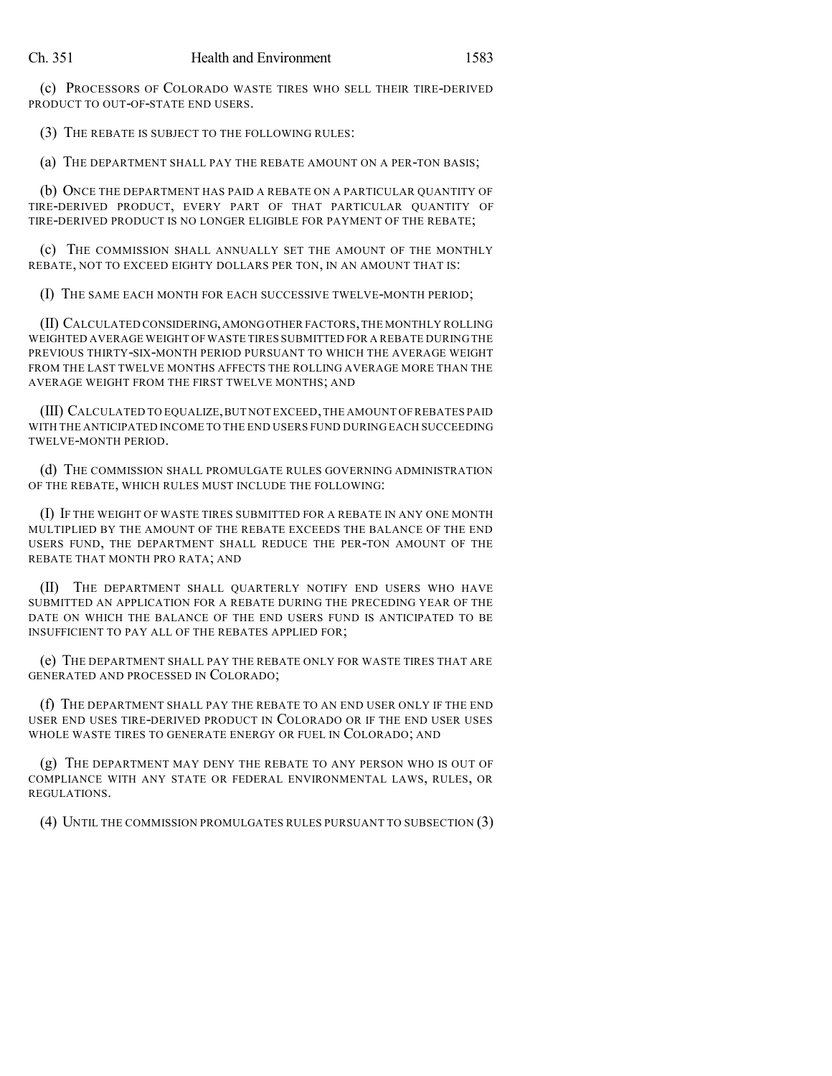(c) PROCESSORS OF COLORADO WASTE TIRES WHO SELL THEIR TIRE-DERIVED PRODUCT TO OUT-OF-STATE END USERS.

(3) THE REBATE IS SUBJECT TO THE FOLLOWING RULES:

(a) THE DEPARTMENT SHALL PAY THE REBATE AMOUNT ON A PER-TON BASIS;

(b) ONCE THE DEPARTMENT HAS PAID A REBATE ON A PARTICULAR QUANTITY OF TIRE-DERIVED PRODUCT, EVERY PART OF THAT PARTICULAR QUANTITY OF TIRE-DERIVED PRODUCT IS NO LONGER ELIGIBLE FOR PAYMENT OF THE REBATE;

(c) THE COMMISSION SHALL ANNUALLY SET THE AMOUNT OF THE MONTHLY REBATE, NOT TO EXCEED EIGHTY DOLLARS PER TON, IN AN AMOUNT THAT IS:

(I) THE SAME EACH MONTH FOR EACH SUCCESSIVE TWELVE-MONTH PERIOD;

(II) CALCULATED CONSIDERING,AMONGOTHER FACTORS,THE MONTHLY ROLLING WEIGHTED AVERAGE WEIGHT OF WASTE TIRES SUBMITTED FOR A REBATE DURING THE PREVIOUS THIRTY-SIX-MONTH PERIOD PURSUANT TO WHICH THE AVERAGE WEIGHT FROM THE LAST TWELVE MONTHS AFFECTS THE ROLLING AVERAGE MORE THAN THE AVERAGE WEIGHT FROM THE FIRST TWELVE MONTHS; AND

(III) CALCULATED TO EQUALIZE,BUT NOT EXCEED,THE AMOUNT OF REBATES PAID WITH THE ANTICIPATED INCOME TO THE END USERS FUND DURING EACH SUCCEEDING TWELVE-MONTH PERIOD.

(d) THE COMMISSION SHALL PROMULGATE RULES GOVERNING ADMINISTRATION OF THE REBATE, WHICH RULES MUST INCLUDE THE FOLLOWING:

(I) IF THE WEIGHT OF WASTE TIRES SUBMITTED FOR A REBATE IN ANY ONE MONTH MULTIPLIED BY THE AMOUNT OF THE REBATE EXCEEDS THE BALANCE OF THE END USERS FUND, THE DEPARTMENT SHALL REDUCE THE PER-TON AMOUNT OF THE REBATE THAT MONTH PRO RATA; AND

(II) THE DEPARTMENT SHALL QUARTERLY NOTIFY END USERS WHO HAVE SUBMITTED AN APPLICATION FOR A REBATE DURING THE PRECEDING YEAR OF THE DATE ON WHICH THE BALANCE OF THE END USERS FUND IS ANTICIPATED TO BE INSUFFICIENT TO PAY ALL OF THE REBATES APPLIED FOR;

(e) THE DEPARTMENT SHALL PAY THE REBATE ONLY FOR WASTE TIRES THAT ARE GENERATED AND PROCESSED IN COLORADO;

(f) THE DEPARTMENT SHALL PAY THE REBATE TO AN END USER ONLY IF THE END USER END USES TIRE-DERIVED PRODUCT IN COLORADO OR IF THE END USER USES WHOLE WASTE TIRES TO GENERATE ENERGY OR FUEL IN COLORADO; AND

(g) THE DEPARTMENT MAY DENY THE REBATE TO ANY PERSON WHO IS OUT OF COMPLIANCE WITH ANY STATE OR FEDERAL ENVIRONMENTAL LAWS, RULES, OR REGULATIONS.

(4) UNTIL THE COMMISSION PROMULGATES RULES PURSUANT TO SUBSECTION (3)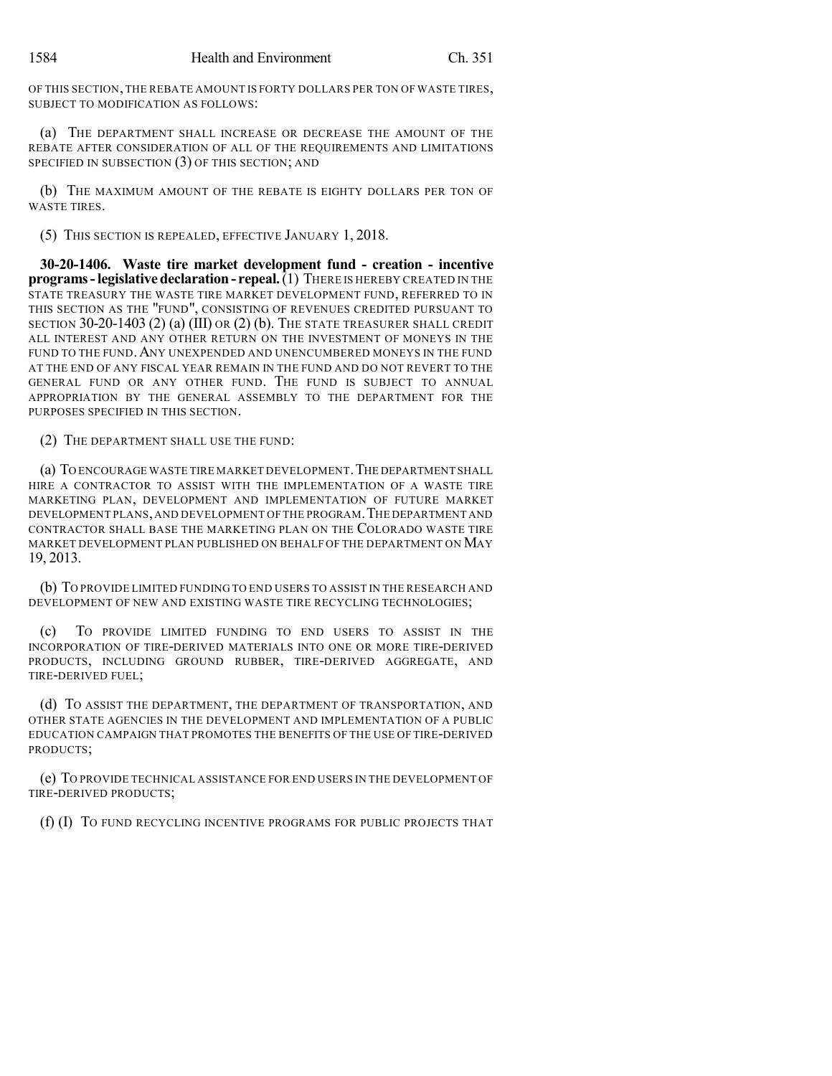OF THIS SECTION, THE REBATE AMOUNT IS FORTY DOLLARS PER TON OF WASTE TIRES, SUBJECT TO MODIFICATION AS FOLLOWS:

(a) THE DEPARTMENT SHALL INCREASE OR DECREASE THE AMOUNT OF THE REBATE AFTER CONSIDERATION OF ALL OF THE REQUIREMENTS AND LIMITATIONS SPECIFIED IN SUBSECTION (3) OF THIS SECTION; AND

(b) THE MAXIMUM AMOUNT OF THE REBATE IS EIGHTY DOLLARS PER TON OF WASTE TIRES.

(5) THIS SECTION IS REPEALED, EFFECTIVE JANUARY 1, 2018.

**30-20-1406. Waste tire market development fund - creation - incentive programs-legislative declaration - repeal.**(1) THERE IS HEREBY CREATED IN THE STATE TREASURY THE WASTE TIRE MARKET DEVELOPMENT FUND, REFERRED TO IN THIS SECTION AS THE "FUND", CONSISTING OF REVENUES CREDITED PURSUANT TO SECTION 30-20-1403 (2) (a) (III) OR (2) (b). THE STATE TREASURER SHALL CREDIT ALL INTEREST AND ANY OTHER RETURN ON THE INVESTMENT OF MONEYS IN THE FUND TO THE FUND. ANY UNEXPENDED AND UNENCUMBERED MONEYS IN THE FUND AT THE END OF ANY FISCAL YEAR REMAIN IN THE FUND AND DO NOT REVERT TO THE GENERAL FUND OR ANY OTHER FUND. THE FUND IS SUBJECT TO ANNUAL APPROPRIATION BY THE GENERAL ASSEMBLY TO THE DEPARTMENT FOR THE PURPOSES SPECIFIED IN THIS SECTION.

(2) THE DEPARTMENT SHALL USE THE FUND:

(a) TO ENCOURAGE WASTE TIRE MARKET DEVELOPMENT.THE DEPARTMENT SHALL HIRE A CONTRACTOR TO ASSIST WITH THE IMPLEMENTATION OF A WASTE TIRE MARKETING PLAN, DEVELOPMENT AND IMPLEMENTATION OF FUTURE MARKET DEVELOPMENT PLANS,AND DEVELOPMENT OFTHE PROGRAM.THE DEPARTMENT AND CONTRACTOR SHALL BASE THE MARKETING PLAN ON THE COLORADO WASTE TIRE MARKET DEVELOPMENT PLAN PUBLISHED ON BEHALF OF THE DEPARTMENT ON MAY 19, 2013.

(b) TO PROVIDE LIMITED FUNDING TO END USERS TO ASSIST IN THE RESEARCH AND DEVELOPMENT OF NEW AND EXISTING WASTE TIRE RECYCLING TECHNOLOGIES;

(c) TO PROVIDE LIMITED FUNDING TO END USERS TO ASSIST IN THE INCORPORATION OF TIRE-DERIVED MATERIALS INTO ONE OR MORE TIRE-DERIVED PRODUCTS, INCLUDING GROUND RUBBER, TIRE-DERIVED AGGREGATE, AND TIRE-DERIVED FUEL;

(d) TO ASSIST THE DEPARTMENT, THE DEPARTMENT OF TRANSPORTATION, AND OTHER STATE AGENCIES IN THE DEVELOPMENT AND IMPLEMENTATION OF A PUBLIC EDUCATION CAMPAIGN THAT PROMOTES THE BENEFITS OF THE USE OF TIRE-DERIVED PRODUCTS;

(e) TO PROVIDE TECHNICAL ASSISTANCE FOR END USERS IN THE DEVELOPMENT OF TIRE-DERIVED PRODUCTS;

(f) (I) TO FUND RECYCLING INCENTIVE PROGRAMS FOR PUBLIC PROJECTS THAT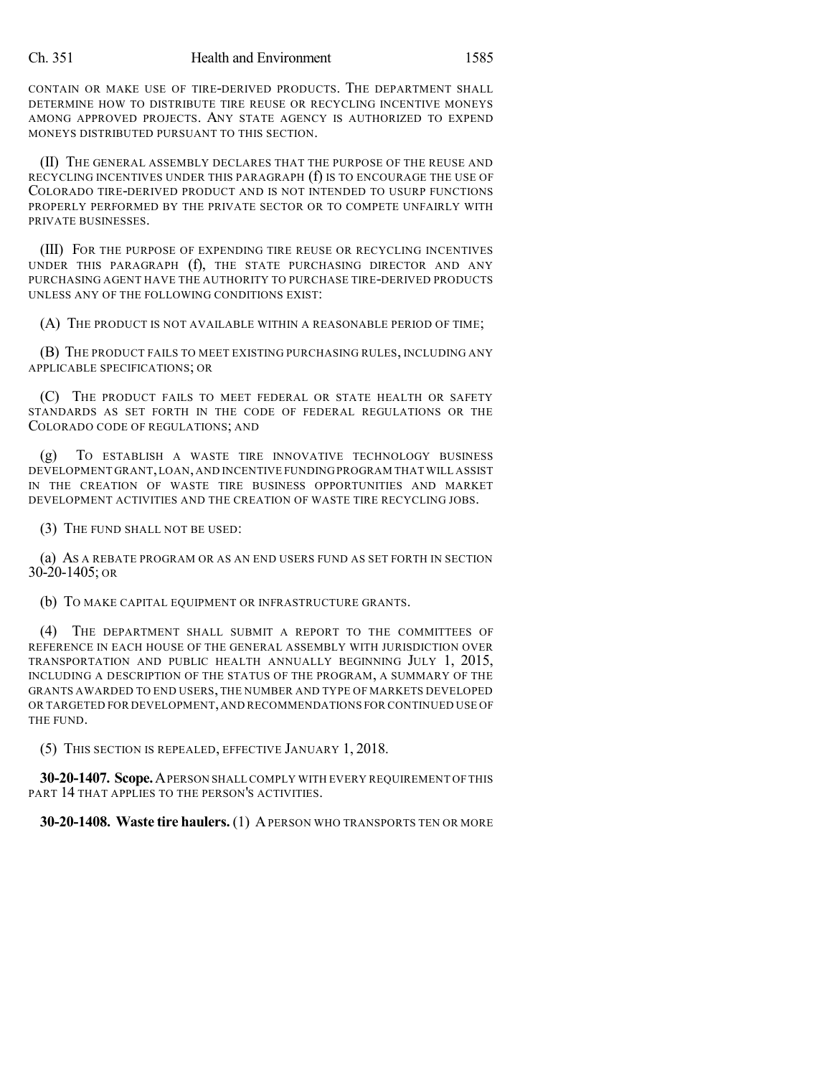#### Ch. 351 Health and Environment 1585

CONTAIN OR MAKE USE OF TIRE-DERIVED PRODUCTS. THE DEPARTMENT SHALL DETERMINE HOW TO DISTRIBUTE TIRE REUSE OR RECYCLING INCENTIVE MONEYS AMONG APPROVED PROJECTS. ANY STATE AGENCY IS AUTHORIZED TO EXPEND MONEYS DISTRIBUTED PURSUANT TO THIS SECTION.

(II) THE GENERAL ASSEMBLY DECLARES THAT THE PURPOSE OF THE REUSE AND RECYCLING INCENTIVES UNDER THIS PARAGRAPH (f) IS TO ENCOURAGE THE USE OF COLORADO TIRE-DERIVED PRODUCT AND IS NOT INTENDED TO USURP FUNCTIONS PROPERLY PERFORMED BY THE PRIVATE SECTOR OR TO COMPETE UNFAIRLY WITH PRIVATE BUSINESSES.

(III) FOR THE PURPOSE OF EXPENDING TIRE REUSE OR RECYCLING INCENTIVES UNDER THIS PARAGRAPH (f), THE STATE PURCHASING DIRECTOR AND ANY PURCHASING AGENT HAVE THE AUTHORITY TO PURCHASE TIRE-DERIVED PRODUCTS UNLESS ANY OF THE FOLLOWING CONDITIONS EXIST:

(A) THE PRODUCT IS NOT AVAILABLE WITHIN A REASONABLE PERIOD OF TIME;

(B) THE PRODUCT FAILS TO MEET EXISTING PURCHASING RULES, INCLUDING ANY APPLICABLE SPECIFICATIONS; OR

(C) THE PRODUCT FAILS TO MEET FEDERAL OR STATE HEALTH OR SAFETY STANDARDS AS SET FORTH IN THE CODE OF FEDERAL REGULATIONS OR THE COLORADO CODE OF REGULATIONS; AND

(g) TO ESTABLISH A WASTE TIRE INNOVATIVE TECHNOLOGY BUSINESS DEVELOPMENT GRANT,LOAN,AND INCENTIVE FUNDING PROGRAM THAT WILL ASSIST IN THE CREATION OF WASTE TIRE BUSINESS OPPORTUNITIES AND MARKET DEVELOPMENT ACTIVITIES AND THE CREATION OF WASTE TIRE RECYCLING JOBS.

(3) THE FUND SHALL NOT BE USED:

(a) AS A REBATE PROGRAM OR AS AN END USERS FUND AS SET FORTH IN SECTION 30-20-1405; OR

(b) TO MAKE CAPITAL EQUIPMENT OR INFRASTRUCTURE GRANTS.

(4) THE DEPARTMENT SHALL SUBMIT A REPORT TO THE COMMITTEES OF REFERENCE IN EACH HOUSE OF THE GENERAL ASSEMBLY WITH JURISDICTION OVER TRANSPORTATION AND PUBLIC HEALTH ANNUALLY BEGINNING JULY 1, 2015, INCLUDING A DESCRIPTION OF THE STATUS OF THE PROGRAM, A SUMMARY OF THE GRANTS AWARDED TO END USERS, THE NUMBER AND TYPE OF MARKETS DEVELOPED OR TARGETED FOR DEVELOPMENT,AND RECOMMENDATIONS FOR CONTINUED USE OF THE FUND.

(5) THIS SECTION IS REPEALED, EFFECTIVE JANUARY 1, 2018.

**30-20-1407. Scope.**APERSON SHALL COMPLY WITH EVERY REQUIREMENT OF THIS PART 14 THAT APPLIES TO THE PERSON'S ACTIVITIES.

**30-20-1408. Waste tire haulers.** (1) APERSON WHO TRANSPORTS TEN OR MORE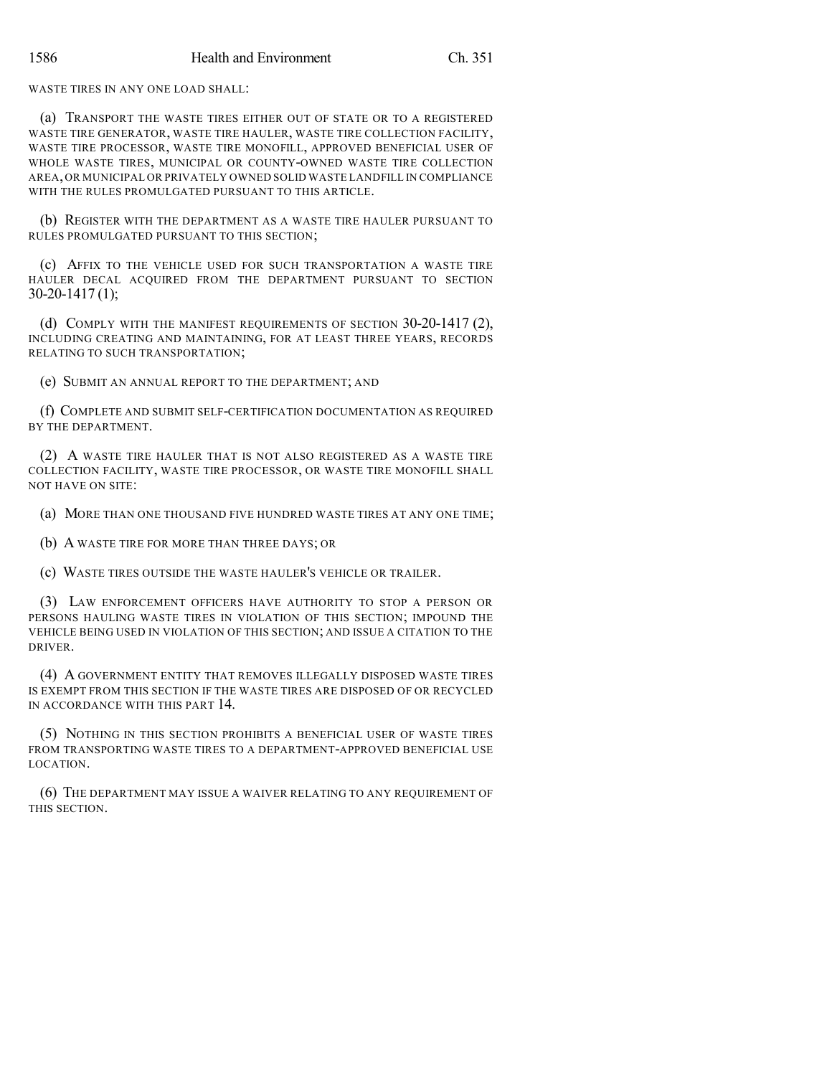WASTE TIRES IN ANY ONE LOAD SHALL:

(a) TRANSPORT THE WASTE TIRES EITHER OUT OF STATE OR TO A REGISTERED WASTE TIRE GENERATOR, WASTE TIRE HAULER, WASTE TIRE COLLECTION FACILITY, WASTE TIRE PROCESSOR, WASTE TIRE MONOFILL, APPROVED BENEFICIAL USER OF WHOLE WASTE TIRES, MUNICIPAL OR COUNTY-OWNED WASTE TIRE COLLECTION AREA,OR MUNICIPAL OR PRIVATELY OWNED SOLID WASTE LANDFILL IN COMPLIANCE WITH THE RULES PROMULGATED PURSUANT TO THIS ARTICLE.

(b) REGISTER WITH THE DEPARTMENT AS A WASTE TIRE HAULER PURSUANT TO RULES PROMULGATED PURSUANT TO THIS SECTION;

(c) AFFIX TO THE VEHICLE USED FOR SUCH TRANSPORTATION A WASTE TIRE HAULER DECAL ACQUIRED FROM THE DEPARTMENT PURSUANT TO SECTION 30-20-1417 (1);

(d) COMPLY WITH THE MANIFEST REQUIREMENTS OF SECTION 30-20-1417 (2), INCLUDING CREATING AND MAINTAINING, FOR AT LEAST THREE YEARS, RECORDS RELATING TO SUCH TRANSPORTATION;

(e) SUBMIT AN ANNUAL REPORT TO THE DEPARTMENT; AND

(f) COMPLETE AND SUBMIT SELF-CERTIFICATION DOCUMENTATION AS REQUIRED BY THE DEPARTMENT.

(2) A WASTE TIRE HAULER THAT IS NOT ALSO REGISTERED AS A WASTE TIRE COLLECTION FACILITY, WASTE TIRE PROCESSOR, OR WASTE TIRE MONOFILL SHALL NOT HAVE ON SITE:

(a) MORE THAN ONE THOUSAND FIVE HUNDRED WASTE TIRES AT ANY ONE TIME;

(b) A WASTE TIRE FOR MORE THAN THREE DAYS; OR

(c) WASTE TIRES OUTSIDE THE WASTE HAULER'S VEHICLE OR TRAILER.

(3) LAW ENFORCEMENT OFFICERS HAVE AUTHORITY TO STOP A PERSON OR PERSONS HAULING WASTE TIRES IN VIOLATION OF THIS SECTION; IMPOUND THE VEHICLE BEING USED IN VIOLATION OF THIS SECTION; AND ISSUE A CITATION TO THE DRIVER.

(4) A GOVERNMENT ENTITY THAT REMOVES ILLEGALLY DISPOSED WASTE TIRES IS EXEMPT FROM THIS SECTION IF THE WASTE TIRES ARE DISPOSED OF OR RECYCLED IN ACCORDANCE WITH THIS PART 14.

(5) NOTHING IN THIS SECTION PROHIBITS A BENEFICIAL USER OF WASTE TIRES FROM TRANSPORTING WASTE TIRES TO A DEPARTMENT-APPROVED BENEFICIAL USE LOCATION.

(6) THE DEPARTMENT MAY ISSUE A WAIVER RELATING TO ANY REQUIREMENT OF THIS SECTION.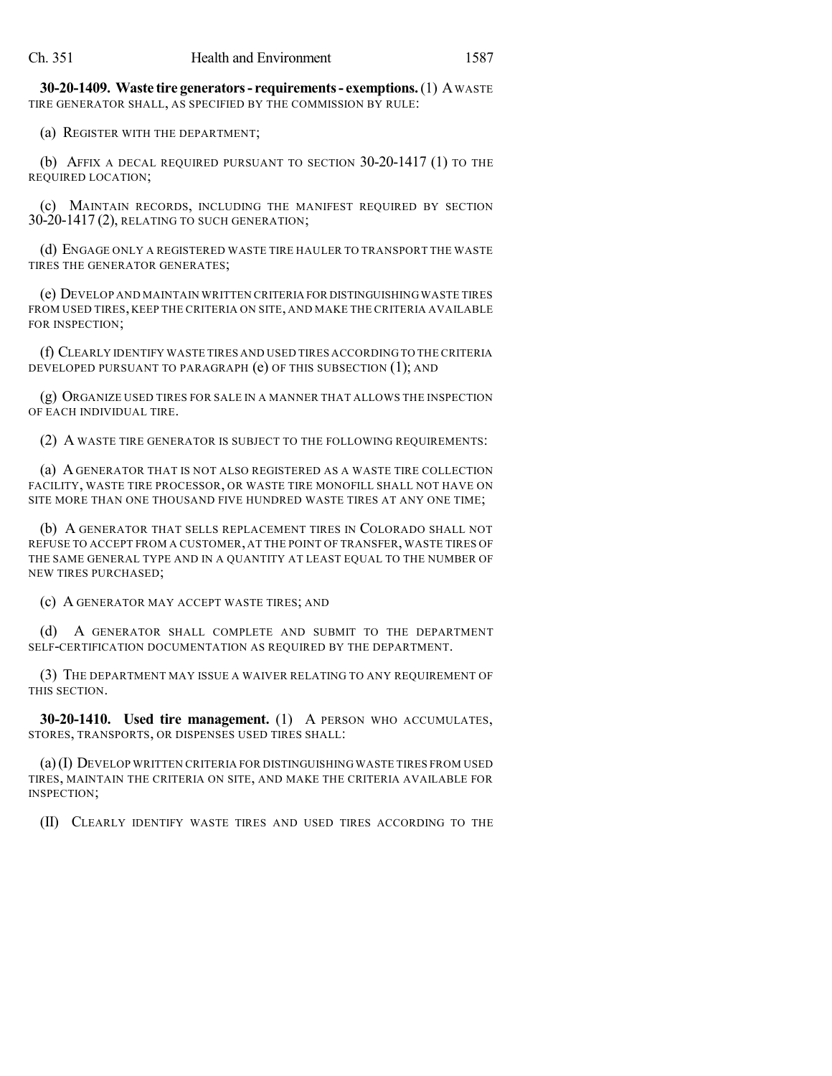**30-20-1409. Waste tire generators- requirements- exemptions.**(1) AWASTE TIRE GENERATOR SHALL, AS SPECIFIED BY THE COMMISSION BY RULE:

(a) REGISTER WITH THE DEPARTMENT;

(b) AFFIX A DECAL REQUIRED PURSUANT TO SECTION 30-20-1417 (1) TO THE REQUIRED LOCATION;

(c) MAINTAIN RECORDS, INCLUDING THE MANIFEST REQUIRED BY SECTION 30-20-1417 (2), RELATING TO SUCH GENERATION;

(d) ENGAGE ONLY A REGISTERED WASTE TIRE HAULER TO TRANSPORT THE WASTE TIRES THE GENERATOR GENERATES;

(e) DEVELOP AND MAINTAIN WRITTEN CRITERIA FOR DISTINGUISHING WASTE TIRES FROM USED TIRES, KEEP THE CRITERIA ON SITE, AND MAKE THE CRITERIA AVAILABLE FOR INSPECTION;

(f) CLEARLY IDENTIFY WASTE TIRES AND USED TIRES ACCORDING TO THE CRITERIA DEVELOPED PURSUANT TO PARAGRAPH (e) OF THIS SUBSECTION (1); AND

(g) ORGANIZE USED TIRES FOR SALE IN A MANNER THAT ALLOWS THE INSPECTION OF EACH INDIVIDUAL TIRE.

(2) A WASTE TIRE GENERATOR IS SUBJECT TO THE FOLLOWING REQUIREMENTS:

(a) A GENERATOR THAT IS NOT ALSO REGISTERED AS A WASTE TIRE COLLECTION FACILITY, WASTE TIRE PROCESSOR, OR WASTE TIRE MONOFILL SHALL NOT HAVE ON SITE MORE THAN ONE THOUSAND FIVE HUNDRED WASTE TIRES AT ANY ONE TIME;

(b) A GENERATOR THAT SELLS REPLACEMENT TIRES IN COLORADO SHALL NOT REFUSE TO ACCEPT FROM A CUSTOMER, AT THE POINT OF TRANSFER, WASTE TIRES OF THE SAME GENERAL TYPE AND IN A QUANTITY AT LEAST EQUAL TO THE NUMBER OF NEW TIRES PURCHASED;

(c) A GENERATOR MAY ACCEPT WASTE TIRES; AND

(d) A GENERATOR SHALL COMPLETE AND SUBMIT TO THE DEPARTMENT SELF-CERTIFICATION DOCUMENTATION AS REQUIRED BY THE DEPARTMENT.

(3) THE DEPARTMENT MAY ISSUE A WAIVER RELATING TO ANY REQUIREMENT OF THIS SECTION.

**30-20-1410. Used tire management.** (1) A PERSON WHO ACCUMULATES, STORES, TRANSPORTS, OR DISPENSES USED TIRES SHALL:

(a)(I) DEVELOP WRITTEN CRITERIA FOR DISTINGUISHING WASTE TIRES FROM USED TIRES, MAINTAIN THE CRITERIA ON SITE, AND MAKE THE CRITERIA AVAILABLE FOR INSPECTION;

(II) CLEARLY IDENTIFY WASTE TIRES AND USED TIRES ACCORDING TO THE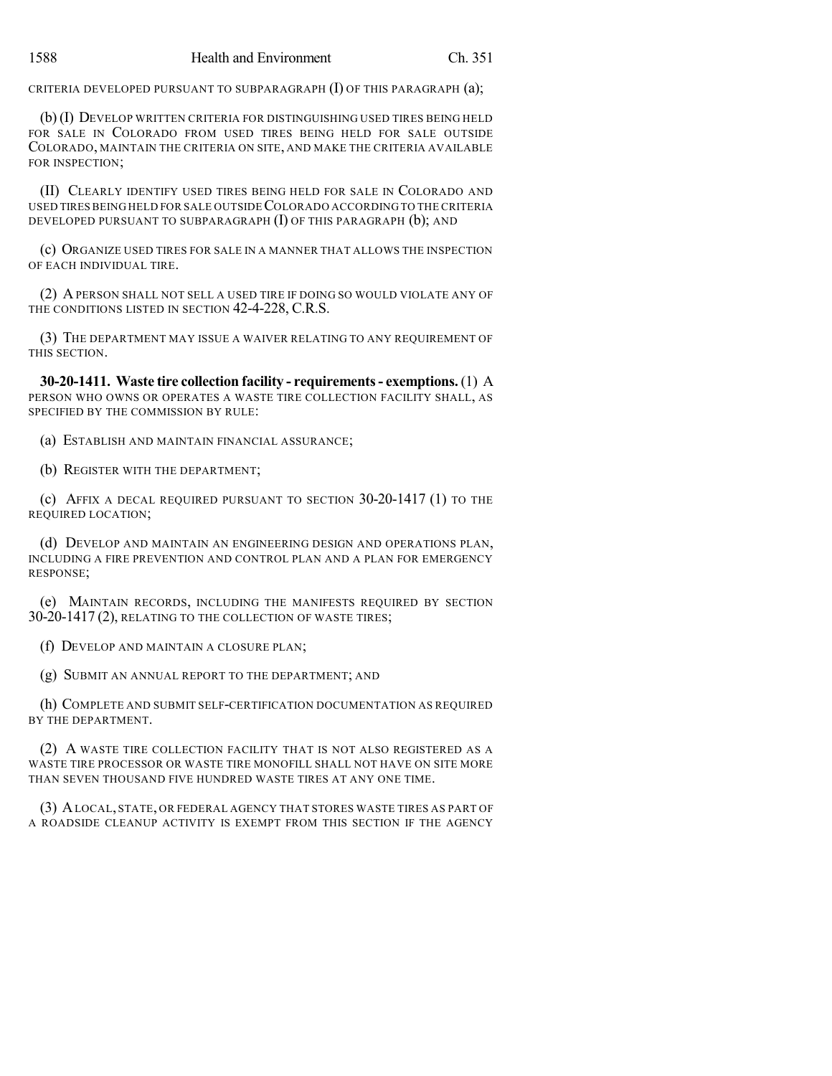CRITERIA DEVELOPED PURSUANT TO SUBPARAGRAPH (I) OF THIS PARAGRAPH (a);

(b) (I) DEVELOP WRITTEN CRITERIA FOR DISTINGUISHING USED TIRES BEING HELD FOR SALE IN COLORADO FROM USED TIRES BEING HELD FOR SALE OUTSIDE COLORADO, MAINTAIN THE CRITERIA ON SITE, AND MAKE THE CRITERIA AVAILABLE FOR INSPECTION;

(II) CLEARLY IDENTIFY USED TIRES BEING HELD FOR SALE IN COLORADO AND USED TIRESBEING HELD FOR SALE OUTSIDECOLORADO ACCORDINGTO THE CRITERIA DEVELOPED PURSUANT TO SUBPARAGRAPH (I) OF THIS PARAGRAPH (b); AND

(c) ORGANIZE USED TIRES FOR SALE IN A MANNER THAT ALLOWS THE INSPECTION OF EACH INDIVIDUAL TIRE.

(2) APERSON SHALL NOT SELL A USED TIRE IF DOING SO WOULD VIOLATE ANY OF THE CONDITIONS LISTED IN SECTION 42-4-228, C.R.S.

(3) THE DEPARTMENT MAY ISSUE A WAIVER RELATING TO ANY REQUIREMENT OF THIS SECTION.

**30-20-1411. Waste tire collection facility - requirements- exemptions.** (1) A PERSON WHO OWNS OR OPERATES A WASTE TIRE COLLECTION FACILITY SHALL, AS SPECIFIED BY THE COMMISSION BY RULE:

(a) ESTABLISH AND MAINTAIN FINANCIAL ASSURANCE;

(b) REGISTER WITH THE DEPARTMENT;

(c) AFFIX A DECAL REQUIRED PURSUANT TO SECTION 30-20-1417 (1) TO THE REQUIRED LOCATION;

(d) DEVELOP AND MAINTAIN AN ENGINEERING DESIGN AND OPERATIONS PLAN, INCLUDING A FIRE PREVENTION AND CONTROL PLAN AND A PLAN FOR EMERGENCY RESPONSE;

(e) MAINTAIN RECORDS, INCLUDING THE MANIFESTS REQUIRED BY SECTION 30-20-1417 (2), RELATING TO THE COLLECTION OF WASTE TIRES;

(f) DEVELOP AND MAINTAIN A CLOSURE PLAN;

(g) SUBMIT AN ANNUAL REPORT TO THE DEPARTMENT; AND

(h) COMPLETE AND SUBMIT SELF-CERTIFICATION DOCUMENTATION AS REQUIRED BY THE DEPARTMENT.

(2) A WASTE TIRE COLLECTION FACILITY THAT IS NOT ALSO REGISTERED AS A WASTE TIRE PROCESSOR OR WASTE TIRE MONOFILL SHALL NOT HAVE ON SITE MORE THAN SEVEN THOUSAND FIVE HUNDRED WASTE TIRES AT ANY ONE TIME.

(3) ALOCAL, STATE, OR FEDERAL AGENCY THAT STORES WASTE TIRES AS PART OF A ROADSIDE CLEANUP ACTIVITY IS EXEMPT FROM THIS SECTION IF THE AGENCY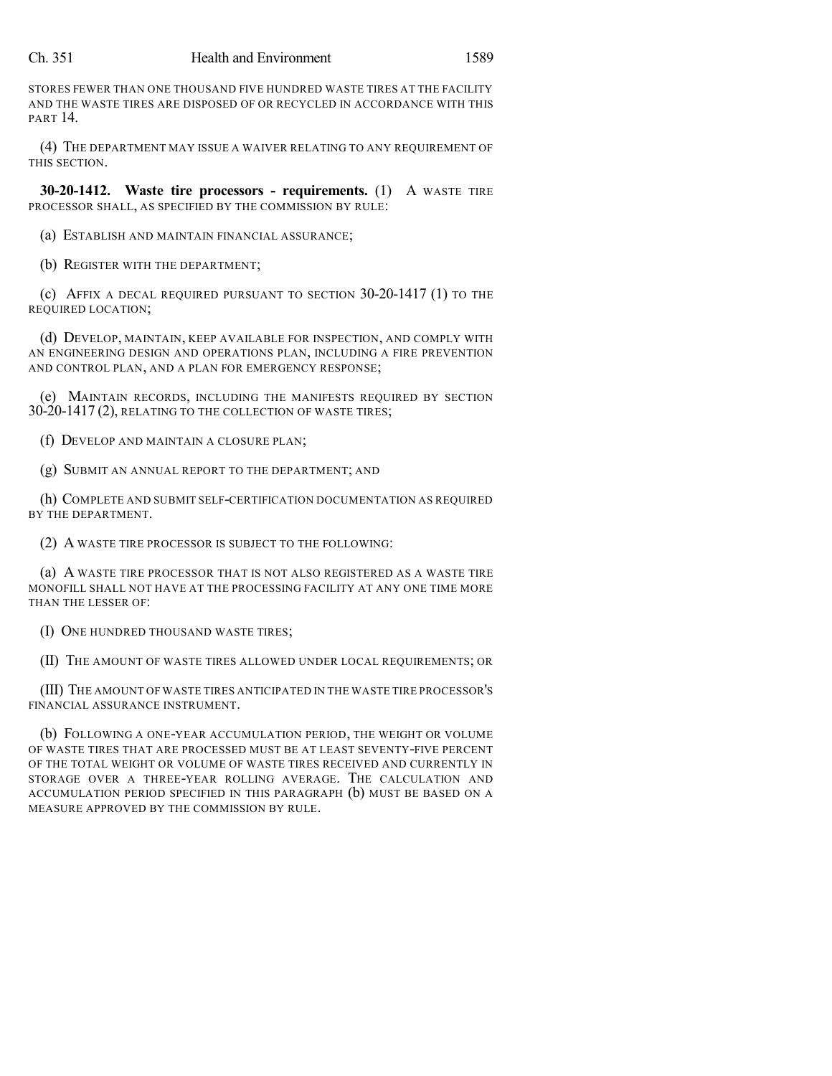STORES FEWER THAN ONE THOUSAND FIVE HUNDRED WASTE TIRES AT THE FACILITY AND THE WASTE TIRES ARE DISPOSED OF OR RECYCLED IN ACCORDANCE WITH THIS PART 14.

(4) THE DEPARTMENT MAY ISSUE A WAIVER RELATING TO ANY REQUIREMENT OF THIS SECTION.

**30-20-1412. Waste tire processors - requirements.** (1) A WASTE TIRE PROCESSOR SHALL, AS SPECIFIED BY THE COMMISSION BY RULE:

(a) ESTABLISH AND MAINTAIN FINANCIAL ASSURANCE;

(b) REGISTER WITH THE DEPARTMENT;

(c) AFFIX A DECAL REQUIRED PURSUANT TO SECTION 30-20-1417 (1) TO THE REQUIRED LOCATION;

(d) DEVELOP, MAINTAIN, KEEP AVAILABLE FOR INSPECTION, AND COMPLY WITH AN ENGINEERING DESIGN AND OPERATIONS PLAN, INCLUDING A FIRE PREVENTION AND CONTROL PLAN, AND A PLAN FOR EMERGENCY RESPONSE;

(e) MAINTAIN RECORDS, INCLUDING THE MANIFESTS REQUIRED BY SECTION 30-20-1417 (2), RELATING TO THE COLLECTION OF WASTE TIRES;

(f) DEVELOP AND MAINTAIN A CLOSURE PLAN;

(g) SUBMIT AN ANNUAL REPORT TO THE DEPARTMENT; AND

(h) COMPLETE AND SUBMIT SELF-CERTIFICATION DOCUMENTATION AS REQUIRED BY THE DEPARTMENT.

(2) A WASTE TIRE PROCESSOR IS SUBJECT TO THE FOLLOWING:

(a) A WASTE TIRE PROCESSOR THAT IS NOT ALSO REGISTERED AS A WASTE TIRE MONOFILL SHALL NOT HAVE AT THE PROCESSING FACILITY AT ANY ONE TIME MORE THAN THE LESSER OF:

(I) ONE HUNDRED THOUSAND WASTE TIRES;

(II) THE AMOUNT OF WASTE TIRES ALLOWED UNDER LOCAL REQUIREMENTS; OR

(III) THE AMOUNT OF WASTE TIRES ANTICIPATED IN THE WASTE TIRE PROCESSOR'S FINANCIAL ASSURANCE INSTRUMENT.

(b) FOLLOWING A ONE-YEAR ACCUMULATION PERIOD, THE WEIGHT OR VOLUME OF WASTE TIRES THAT ARE PROCESSED MUST BE AT LEAST SEVENTY-FIVE PERCENT OF THE TOTAL WEIGHT OR VOLUME OF WASTE TIRES RECEIVED AND CURRENTLY IN STORAGE OVER A THREE-YEAR ROLLING AVERAGE. THE CALCULATION AND ACCUMULATION PERIOD SPECIFIED IN THIS PARAGRAPH (b) MUST BE BASED ON A MEASURE APPROVED BY THE COMMISSION BY RULE.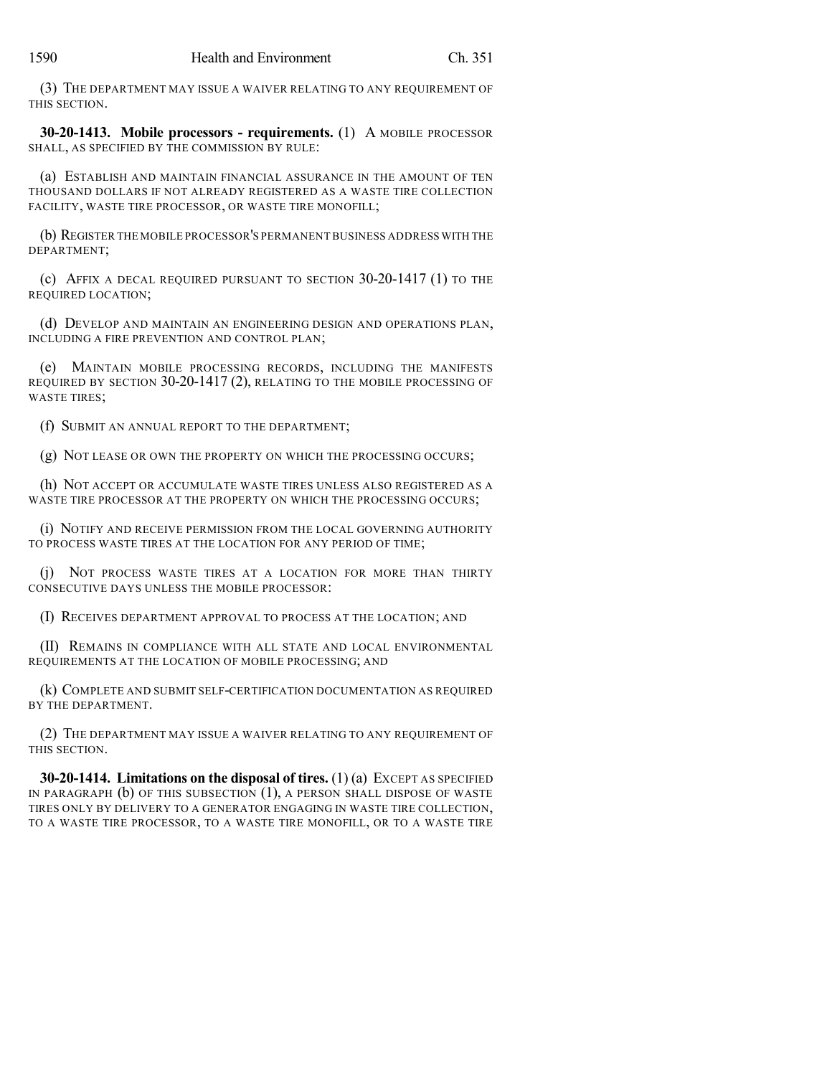(3) THE DEPARTMENT MAY ISSUE A WAIVER RELATING TO ANY REQUIREMENT OF THIS SECTION.

**30-20-1413. Mobile processors - requirements.** (1) A MOBILE PROCESSOR SHALL, AS SPECIFIED BY THE COMMISSION BY RULE:

(a) ESTABLISH AND MAINTAIN FINANCIAL ASSURANCE IN THE AMOUNT OF TEN THOUSAND DOLLARS IF NOT ALREADY REGISTERED AS A WASTE TIRE COLLECTION FACILITY, WASTE TIRE PROCESSOR, OR WASTE TIRE MONOFILL;

(b) REGISTER THE MOBILE PROCESSOR'S PERMANENT BUSINESS ADDRESS WITH THE DEPARTMENT;

(c) AFFIX A DECAL REQUIRED PURSUANT TO SECTION 30-20-1417 (1) TO THE REQUIRED LOCATION;

(d) DEVELOP AND MAINTAIN AN ENGINEERING DESIGN AND OPERATIONS PLAN, INCLUDING A FIRE PREVENTION AND CONTROL PLAN;

(e) MAINTAIN MOBILE PROCESSING RECORDS, INCLUDING THE MANIFESTS REQUIRED BY SECTION 30-20-1417 (2), RELATING TO THE MOBILE PROCESSING OF WASTE TIRES;

(f) SUBMIT AN ANNUAL REPORT TO THE DEPARTMENT;

(g) NOT LEASE OR OWN THE PROPERTY ON WHICH THE PROCESSING OCCURS;

(h) NOT ACCEPT OR ACCUMULATE WASTE TIRES UNLESS ALSO REGISTERED AS A WASTE TIRE PROCESSOR AT THE PROPERTY ON WHICH THE PROCESSING OCCURS;

(i) NOTIFY AND RECEIVE PERMISSION FROM THE LOCAL GOVERNING AUTHORITY TO PROCESS WASTE TIRES AT THE LOCATION FOR ANY PERIOD OF TIME;

(j) NOT PROCESS WASTE TIRES AT A LOCATION FOR MORE THAN THIRTY CONSECUTIVE DAYS UNLESS THE MOBILE PROCESSOR:

(I) RECEIVES DEPARTMENT APPROVAL TO PROCESS AT THE LOCATION; AND

(II) REMAINS IN COMPLIANCE WITH ALL STATE AND LOCAL ENVIRONMENTAL REQUIREMENTS AT THE LOCATION OF MOBILE PROCESSING; AND

(k) COMPLETE AND SUBMIT SELF-CERTIFICATION DOCUMENTATION AS REQUIRED BY THE DEPARTMENT.

(2) THE DEPARTMENT MAY ISSUE A WAIVER RELATING TO ANY REQUIREMENT OF THIS SECTION.

**30-20-1414. Limitations on the disposal of tires.** (1) (a) EXCEPT AS SPECIFIED IN PARAGRAPH (b) OF THIS SUBSECTION (1), A PERSON SHALL DISPOSE OF WASTE TIRES ONLY BY DELIVERY TO A GENERATOR ENGAGING IN WASTE TIRE COLLECTION, TO A WASTE TIRE PROCESSOR, TO A WASTE TIRE MONOFILL, OR TO A WASTE TIRE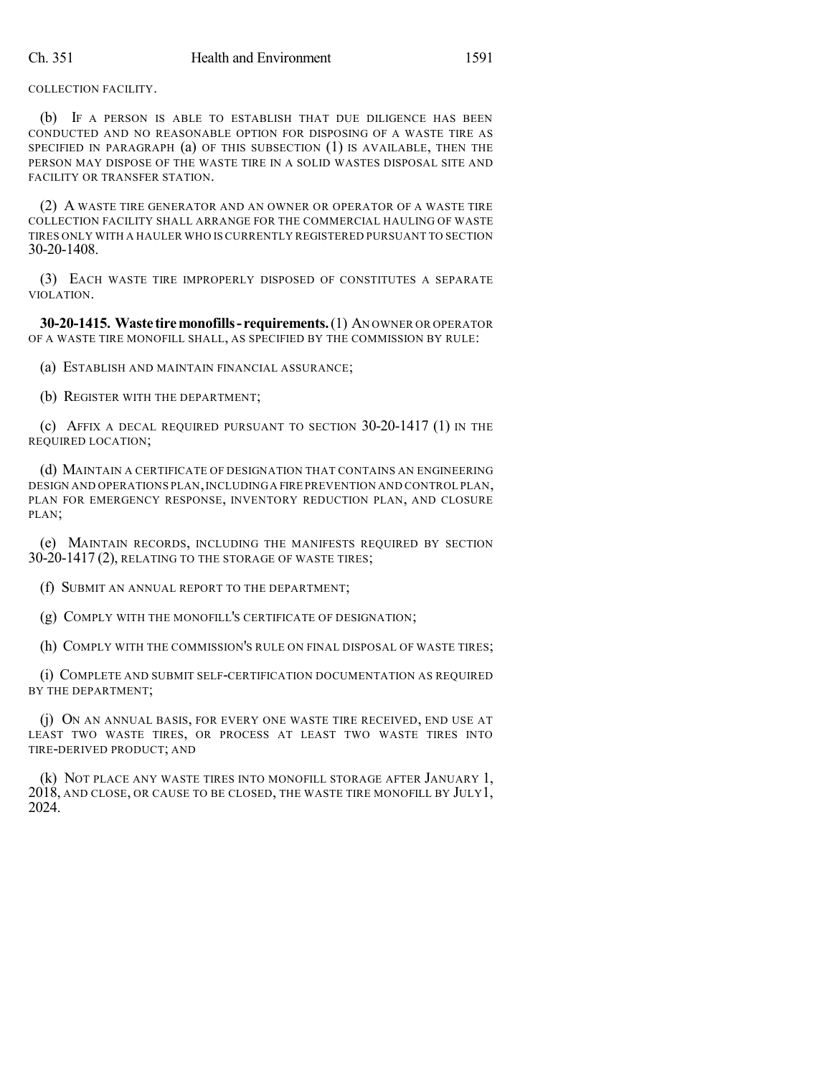COLLECTION FACILITY.

(b) IF A PERSON IS ABLE TO ESTABLISH THAT DUE DILIGENCE HAS BEEN CONDUCTED AND NO REASONABLE OPTION FOR DISPOSING OF A WASTE TIRE AS SPECIFIED IN PARAGRAPH (a) OF THIS SUBSECTION (1) IS AVAILABLE, THEN THE PERSON MAY DISPOSE OF THE WASTE TIRE IN A SOLID WASTES DISPOSAL SITE AND FACILITY OR TRANSFER STATION.

(2) A WASTE TIRE GENERATOR AND AN OWNER OR OPERATOR OF A WASTE TIRE COLLECTION FACILITY SHALL ARRANGE FOR THE COMMERCIAL HAULING OF WASTE TIRES ONLY WITH A HAULER WHO IS CURRENTLY REGISTERED PURSUANT TO SECTION 30-20-1408.

(3) EACH WASTE TIRE IMPROPERLY DISPOSED OF CONSTITUTES A SEPARATE VIOLATION.

**30-20-1415. Waste tiremonofills- requirements.**(1) AN OWNER OR OPERATOR OF A WASTE TIRE MONOFILL SHALL, AS SPECIFIED BY THE COMMISSION BY RULE:

(a) ESTABLISH AND MAINTAIN FINANCIAL ASSURANCE;

(b) REGISTER WITH THE DEPARTMENT;

(c) AFFIX A DECAL REQUIRED PURSUANT TO SECTION 30-20-1417 (1) IN THE REQUIRED LOCATION;

(d) MAINTAIN A CERTIFICATE OF DESIGNATION THAT CONTAINS AN ENGINEERING DESIGN AND OPERATIONS PLAN, INCLUDING A FIRE PREVENTION AND CONTROL PLAN, PLAN FOR EMERGENCY RESPONSE, INVENTORY REDUCTION PLAN, AND CLOSURE PLAN;

(e) MAINTAIN RECORDS, INCLUDING THE MANIFESTS REQUIRED BY SECTION 30-20-1417 (2), RELATING TO THE STORAGE OF WASTE TIRES;

(f) SUBMIT AN ANNUAL REPORT TO THE DEPARTMENT;

(g) COMPLY WITH THE MONOFILL'S CERTIFICATE OF DESIGNATION;

(h) COMPLY WITH THE COMMISSION'S RULE ON FINAL DISPOSAL OF WASTE TIRES;

(i) COMPLETE AND SUBMIT SELF-CERTIFICATION DOCUMENTATION AS REQUIRED BY THE DEPARTMENT;

(j) ON AN ANNUAL BASIS, FOR EVERY ONE WASTE TIRE RECEIVED, END USE AT LEAST TWO WASTE TIRES, OR PROCESS AT LEAST TWO WASTE TIRES INTO TIRE-DERIVED PRODUCT; AND

(k) NOT PLACE ANY WASTE TIRES INTO MONOFILL STORAGE AFTER JANUARY 1, 2018, AND CLOSE, OR CAUSE TO BE CLOSED, THE WASTE TIRE MONOFILL BY JULY1, 2024.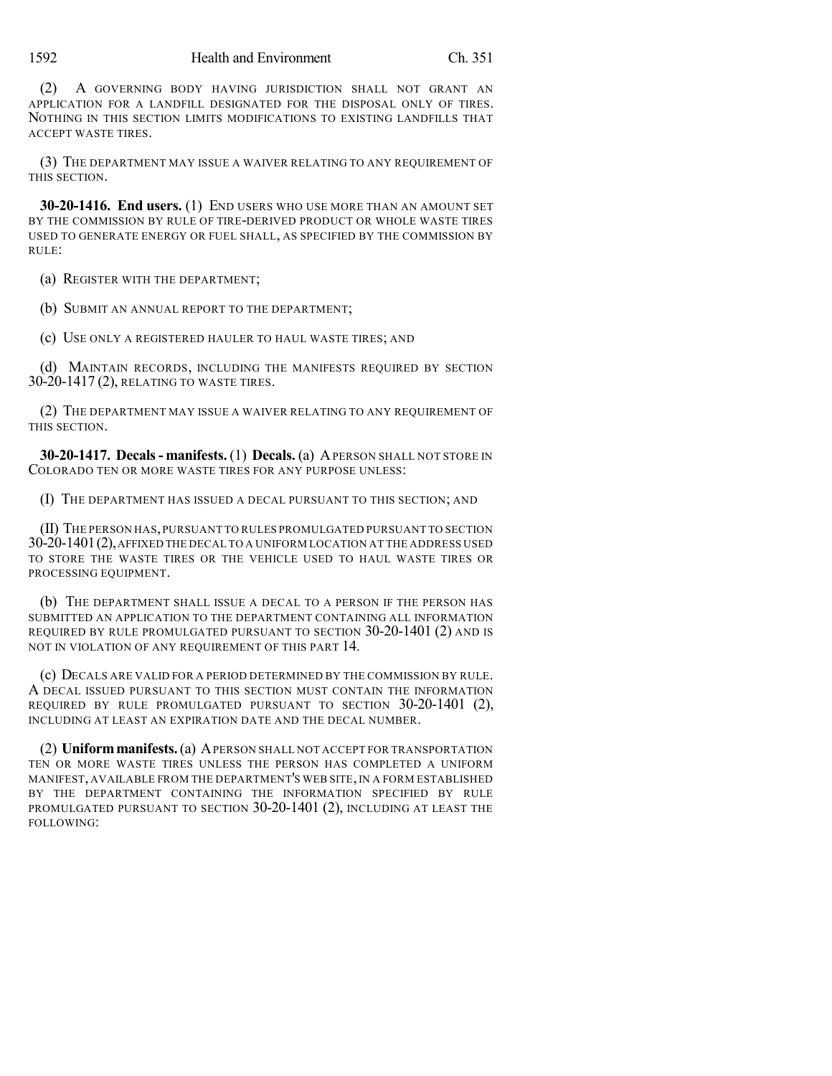(2) A GOVERNING BODY HAVING JURISDICTION SHALL NOT GRANT AN APPLICATION FOR A LANDFILL DESIGNATED FOR THE DISPOSAL ONLY OF TIRES. NOTHING IN THIS SECTION LIMITS MODIFICATIONS TO EXISTING LANDFILLS THAT ACCEPT WASTE TIRES.

(3) THE DEPARTMENT MAY ISSUE A WAIVER RELATING TO ANY REQUIREMENT OF THIS SECTION.

**30-20-1416. End users.** (1) END USERS WHO USE MORE THAN AN AMOUNT SET BY THE COMMISSION BY RULE OF TIRE-DERIVED PRODUCT OR WHOLE WASTE TIRES USED TO GENERATE ENERGY OR FUEL SHALL, AS SPECIFIED BY THE COMMISSION BY RULE:

(a) REGISTER WITH THE DEPARTMENT;

(b) SUBMIT AN ANNUAL REPORT TO THE DEPARTMENT;

(c) USE ONLY A REGISTERED HAULER TO HAUL WASTE TIRES; AND

(d) MAINTAIN RECORDS, INCLUDING THE MANIFESTS REQUIRED BY SECTION 30-20-1417 (2), RELATING TO WASTE TIRES.

(2) THE DEPARTMENT MAY ISSUE A WAIVER RELATING TO ANY REQUIREMENT OF THIS SECTION.

**30-20-1417. Decals- manifests.** (1) **Decals.** (a) APERSON SHALL NOT STORE IN COLORADO TEN OR MORE WASTE TIRES FOR ANY PURPOSE UNLESS:

(I) THE DEPARTMENT HAS ISSUED A DECAL PURSUANT TO THIS SECTION; AND

(II) THE PERSON HAS,PURSUANT TO RULES PROMULGATED PURSUANT TO SECTION 30-20-1401(2),AFFIXED THE DECAL TO A UNIFORM LOCATION AT THE ADDRESS USED TO STORE THE WASTE TIRES OR THE VEHICLE USED TO HAUL WASTE TIRES OR PROCESSING EQUIPMENT.

(b) THE DEPARTMENT SHALL ISSUE A DECAL TO A PERSON IF THE PERSON HAS SUBMITTED AN APPLICATION TO THE DEPARTMENT CONTAINING ALL INFORMATION REQUIRED BY RULE PROMULGATED PURSUANT TO SECTION 30-20-1401 (2) AND IS NOT IN VIOLATION OF ANY REQUIREMENT OF THIS PART 14.

(c) DECALS ARE VALID FOR A PERIOD DETERMINED BY THE COMMISSION BY RULE. A DECAL ISSUED PURSUANT TO THIS SECTION MUST CONTAIN THE INFORMATION REQUIRED BY RULE PROMULGATED PURSUANT TO SECTION 30-20-1401 (2), INCLUDING AT LEAST AN EXPIRATION DATE AND THE DECAL NUMBER.

(2) **Uniformmanifests.**(a) APERSON SHALL NOT ACCEPT FOR TRANSPORTATION TEN OR MORE WASTE TIRES UNLESS THE PERSON HAS COMPLETED A UNIFORM MANIFEST, AVAILABLE FROM THE DEPARTMENT'S WEB SITE,IN A FORM ESTABLISHED BY THE DEPARTMENT CONTAINING THE INFORMATION SPECIFIED BY RULE PROMULGATED PURSUANT TO SECTION 30-20-1401 (2), INCLUDING AT LEAST THE FOLLOWING: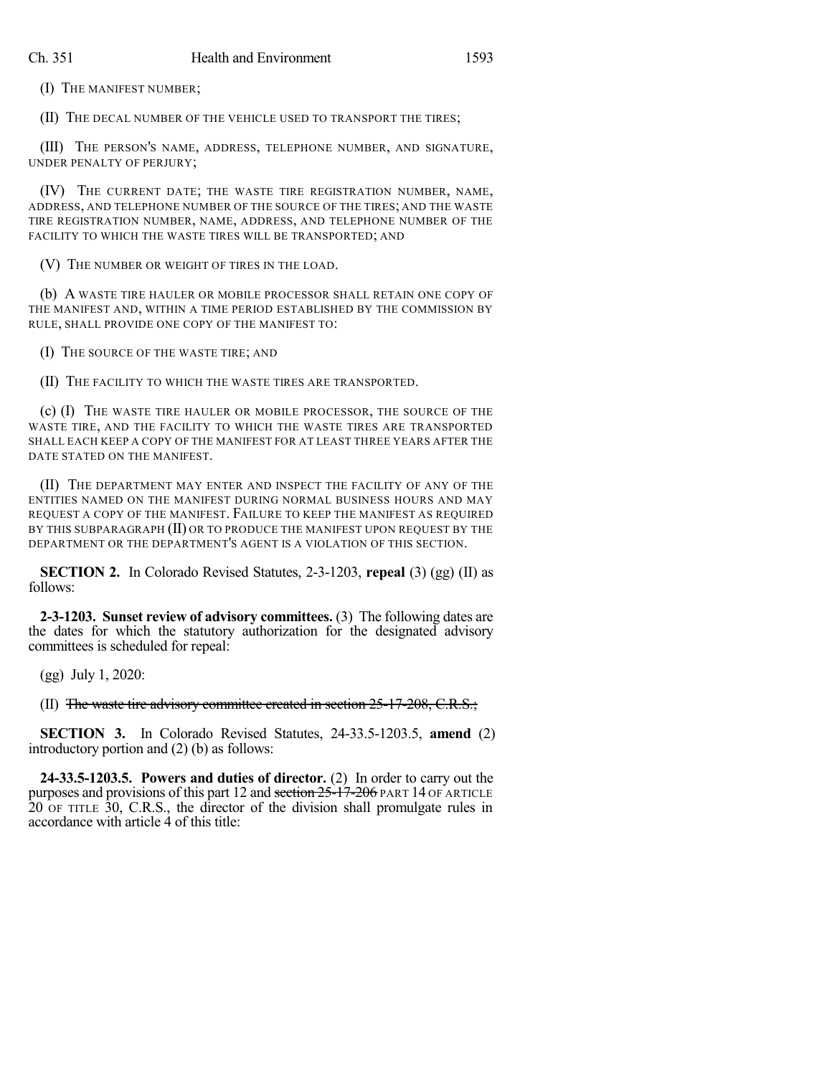(I) THE MANIFEST NUMBER;

(II) THE DECAL NUMBER OF THE VEHICLE USED TO TRANSPORT THE TIRES;

(III) THE PERSON'S NAME, ADDRESS, TELEPHONE NUMBER, AND SIGNATURE, UNDER PENALTY OF PERJURY;

(IV) THE CURRENT DATE; THE WASTE TIRE REGISTRATION NUMBER, NAME, ADDRESS, AND TELEPHONE NUMBER OF THE SOURCE OF THE TIRES; AND THE WASTE TIRE REGISTRATION NUMBER, NAME, ADDRESS, AND TELEPHONE NUMBER OF THE FACILITY TO WHICH THE WASTE TIRES WILL BE TRANSPORTED; AND

(V) THE NUMBER OR WEIGHT OF TIRES IN THE LOAD.

(b) A WASTE TIRE HAULER OR MOBILE PROCESSOR SHALL RETAIN ONE COPY OF THE MANIFEST AND, WITHIN A TIME PERIOD ESTABLISHED BY THE COMMISSION BY RULE, SHALL PROVIDE ONE COPY OF THE MANIFEST TO:

(I) THE SOURCE OF THE WASTE TIRE; AND

(II) THE FACILITY TO WHICH THE WASTE TIRES ARE TRANSPORTED.

(c) (I) THE WASTE TIRE HAULER OR MOBILE PROCESSOR, THE SOURCE OF THE WASTE TIRE, AND THE FACILITY TO WHICH THE WASTE TIRES ARE TRANSPORTED SHALL EACH KEEP A COPY OF THE MANIFEST FOR AT LEAST THREE YEARS AFTER THE DATE STATED ON THE MANIFEST.

(II) THE DEPARTMENT MAY ENTER AND INSPECT THE FACILITY OF ANY OF THE ENTITIES NAMED ON THE MANIFEST DURING NORMAL BUSINESS HOURS AND MAY REQUEST A COPY OF THE MANIFEST. FAILURE TO KEEP THE MANIFEST AS REQUIRED BY THIS SUBPARAGRAPH (II) OR TO PRODUCE THE MANIFEST UPON REQUEST BY THE DEPARTMENT OR THE DEPARTMENT'S AGENT IS A VIOLATION OF THIS SECTION.

**SECTION 2.** In Colorado Revised Statutes, 2-3-1203, **repeal** (3) (gg) (II) as follows:

**2-3-1203. Sunset review of advisory committees.** (3) The following dates are the dates for which the statutory authorization for the designated advisory committees is scheduled for repeal:

(gg) July 1, 2020:

(II) The waste tire advisory committee created in section 25-17-208, C.R.S.;

**SECTION 3.** In Colorado Revised Statutes, 24-33.5-1203.5, **amend** (2) introductory portion and (2) (b) as follows:

**24-33.5-1203.5. Powers and duties of director.** (2) In order to carry out the purposes and provisions of this part 12 and section 25-17-206 PART 14 OF ARTICLE 20 OF TITLE 30, C.R.S., the director of the division shall promulgate rules in accordance with article 4 of this title: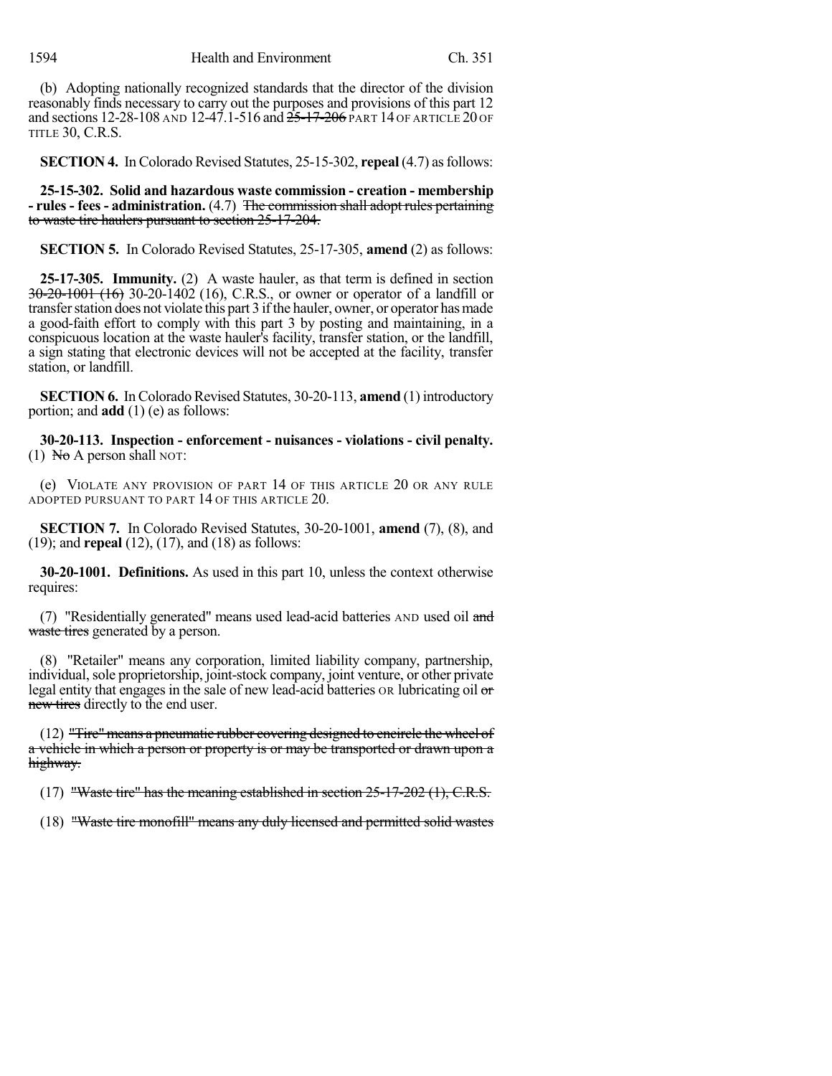(b) Adopting nationally recognized standards that the director of the division reasonably finds necessary to carry out the purposes and provisions of this part 12 and sections 12-28-108 AND 12-47.1-516 and  $25-17-206$  PART 14 OF ARTICLE 20 OF TITLE 30, C.R.S.

**SECTION 4.** In Colorado Revised Statutes, 25-15-302, **repeal** (4.7) as follows:

**25-15-302. Solid and hazardous waste commission - creation - membership - rules - fees - administration.** (4.7) The commission shall adopt rules pertaining to waste tire haulers pursuant to section 25-17-204.

**SECTION 5.** In Colorado Revised Statutes, 25-17-305, **amend** (2) as follows:

**25-17-305. Immunity.** (2) A waste hauler, as that term is defined in section 30-20-1001 (16) 30-20-1402 (16), C.R.S., or owner or operator of a landfill or transferstation does not violate this part 3 ifthe hauler, owner, or operator hasmade a good-faith effort to comply with this part 3 by posting and maintaining, in a conspicuous location at the waste hauler's facility, transfer station, or the landfill, a sign stating that electronic devices will not be accepted at the facility, transfer station, or landfill.

**SECTION 6.** In Colorado Revised Statutes, 30-20-113, **amend** (1) introductory portion; and **add** (1) (e) as follows:

**30-20-113. Inspection - enforcement - nuisances - violations - civil penalty.** (1) No A person shall NOT:

(e) VIOLATE ANY PROVISION OF PART 14 OF THIS ARTICLE 20 OR ANY RULE ADOPTED PURSUANT TO PART 14 OF THIS ARTICLE 20.

**SECTION 7.** In Colorado Revised Statutes, 30-20-1001, **amend** (7), (8), and (19); and **repeal** (12), (17), and (18) as follows:

**30-20-1001. Definitions.** As used in this part 10, unless the context otherwise requires:

(7) "Residentially generated" means used lead-acid batteries AND used oil and waste tires generated by a person.

(8) "Retailer" means any corporation, limited liability company, partnership, individual, sole proprietorship, joint-stock company, joint venture, or other private legal entity that engages in the sale of new lead-acid batteries OR lubricating oil or new tires directly to the end user.

(12) "Tire"means a pneumatic rubber covering designed to encircle the wheel of a vehicle in which a person or property is or may be transported or drawn upon a highway.

(17) "Waste tire" has the meaning established in section 25-17-202 (1), C.R.S.

(18) "Waste tire monofill" means any duly licensed and permitted solid wastes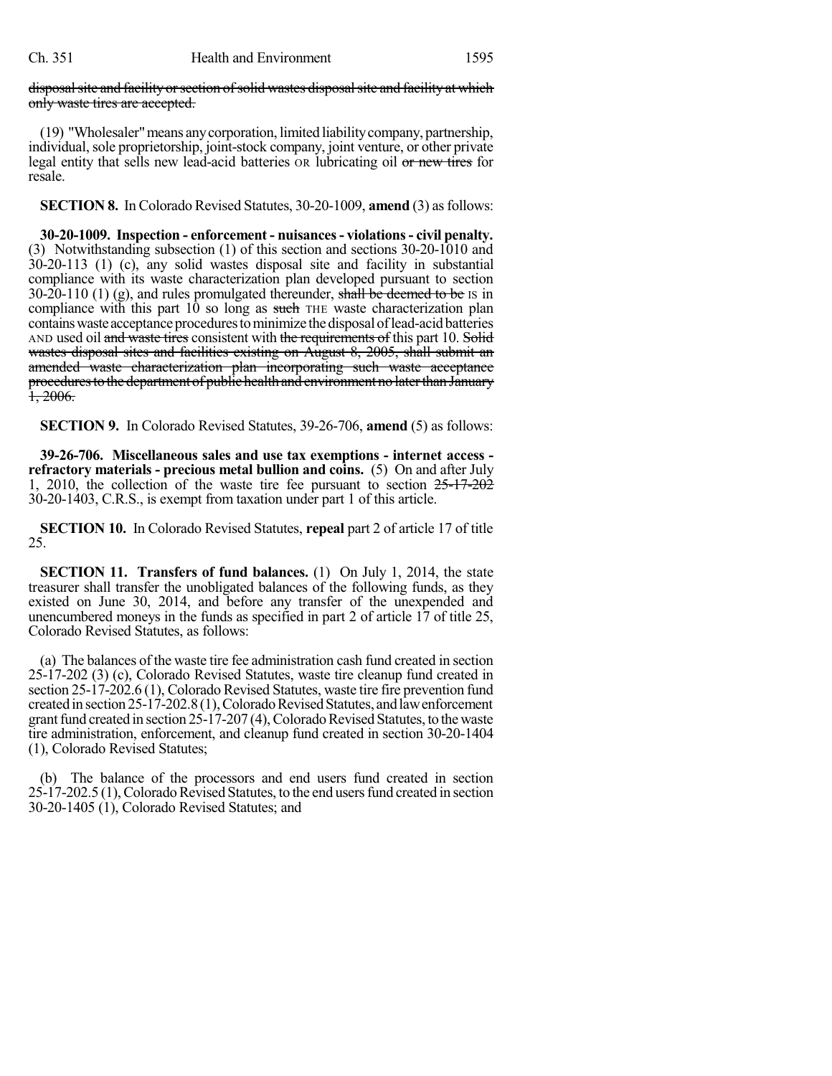#### disposal site and facility or section of solid wastes disposal site and facility at which only waste tires are accepted.

(19) "Wholesaler"means anycorporation, limited liabilitycompany, partnership, individual, sole proprietorship, joint-stock company, joint venture, or other private legal entity that sells new lead-acid batteries OR lubricating oil or new tires for resale.

**SECTION 8.** In Colorado Revised Statutes, 30-20-1009, **amend** (3) as follows:

**30-20-1009. Inspection - enforcement - nuisances- violations- civil penalty.** (3) Notwithstanding subsection (1) of this section and sections 30-20-1010 and 30-20-113 (1) (c), any solid wastes disposal site and facility in substantial compliance with its waste characterization plan developed pursuant to section 30-20-110 (1) (g), and rules promulgated thereunder, shall be deemed to be IS in compliance with this part  $10$  so long as such THE waste characterization plan contains waste acceptance procedures to minimize the disposal of lead-acid batteries AND used oil and waste tires consistent with the requirements of this part 10. Solid wastes disposal sites and facilities existing on August 8, 2005, shall submit an amended waste characterization plan incorporating such waste acceptance procedures to the department of public health and environment no later than January  $\frac{1}{1}$ , 2006.

**SECTION 9.** In Colorado Revised Statutes, 39-26-706, **amend** (5) as follows:

**39-26-706. Miscellaneous sales and use tax exemptions - internet access refractory materials - precious metal bullion and coins.** (5) On and after July 1, 2010, the collection of the waste tire fee pursuant to section  $25-17-202$ 30-20-1403, C.R.S., is exempt from taxation under part 1 of this article.

**SECTION 10.** In Colorado Revised Statutes, **repeal** part 2 of article 17 of title 25.

**SECTION 11. Transfers of fund balances.** (1) On July 1, 2014, the state treasurer shall transfer the unobligated balances of the following funds, as they existed on June 30, 2014, and before any transfer of the unexpended and unencumbered moneys in the funds as specified in part 2 of article 17 of title 25, Colorado Revised Statutes, as follows:

(a) The balances of the waste tire fee administration cash fund created in section 25-17-202 (3) (c), Colorado Revised Statutes, waste tire cleanup fund created in section 25-17-202.6 (1), Colorado Revised Statutes, waste tire fire prevention fund created in section  $25-\hat{17}-202.8(1)$ , Colorado Revised Statutes, and law enforcement grant fund created in section  $25-17-207$  (4), Colorado Revised Statutes, to the waste tire administration, enforcement, and cleanup fund created in section 30-20-1404 (1), Colorado Revised Statutes;

(b) The balance of the processors and end users fund created in section 25-17-202.5 (1), Colorado Revised Statutes, to the end users fund created in section 30-20-1405 (1), Colorado Revised Statutes; and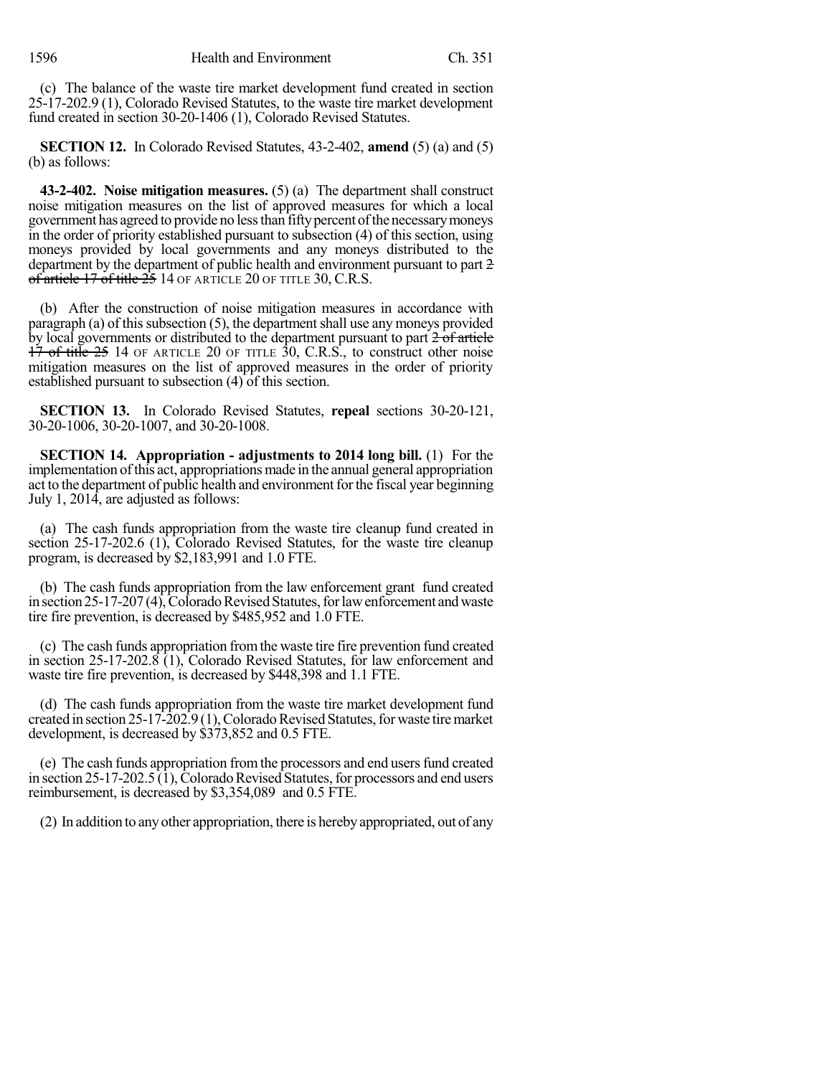(c) The balance of the waste tire market development fund created in section 25-17-202.9 (1), Colorado Revised Statutes, to the waste tire market development fund created in section 30-20-1406 (1), Colorado Revised Statutes.

**SECTION 12.** In Colorado Revised Statutes, 43-2-402, **amend** (5) (a) and (5) (b) as follows:

**43-2-402. Noise mitigation measures.** (5) (a) The department shall construct noise mitigation measures on the list of approved measures for which a local government has agreed to provide no less than fifty percent of the necessary moneys in the order of priority established pursuant to subsection (4) of this section, using moneys provided by local governments and any moneys distributed to the department by the department of public health and environment pursuant to part 2 of article 17 of title 25 14 OF ARTICLE 20 OF TITLE 30, C.R.S.

(b) After the construction of noise mitigation measures in accordance with paragraph (a) of this subsection  $(5)$ , the department shall use any moneys provided by local governments or distributed to the department pursuant to part  $\frac{2}{2}$  of article  $17$  of title  $25$  14 OF ARTICLE 20 OF TITLE  $30$ , C.R.S., to construct other noise mitigation measures on the list of approved measures in the order of priority established pursuant to subsection  $(4)$  of this section.

**SECTION 13.** In Colorado Revised Statutes, **repeal** sections 30-20-121, 30-20-1006, 30-20-1007, and 30-20-1008.

**SECTION 14. Appropriation - adjustments to 2014 long bill.** (1) For the implementation ofthis act, appropriations made in the annual general appropriation act to the department of public health and environment for the fiscal year beginning July 1, 2014, are adjusted as follows:

(a) The cash funds appropriation from the waste tire cleanup fund created in section 25-17-202.6 (1), Colorado Revised Statutes, for the waste tire cleanup program, is decreased by \$2,183,991 and 1.0 FTE.

(b) The cash funds appropriation from the law enforcement grant fund created in section  $25-17-207(4)$ , Colorado Revised Statutes, for law enforcement and waste tire fire prevention, is decreased by \$485,952 and 1.0 FTE.

(c) The cash funds appropriation fromthe waste tire fire prevention fund created in section 25-17-202.8 (1), Colorado Revised Statutes, for law enforcement and waste tire fire prevention, is decreased by \$448,398 and 1.1 FTE.

(d) The cash funds appropriation from the waste tire market development fund created in section  $25-17-202.9(1)$ , Colorado Revised Statutes, for waste tire market development, is decreased by \$373,852 and 0.5 FTE.

(e) The cash funds appropriation fromthe processors and end usersfund created in section  $25$ -17-202.5 (1), Colorado Revised Statutes, for processors and end users reimbursement, is decreased by \$3,354,089 and 0.5 FTE.

(2) In addition to anyother appropriation, there is herebyappropriated, out of any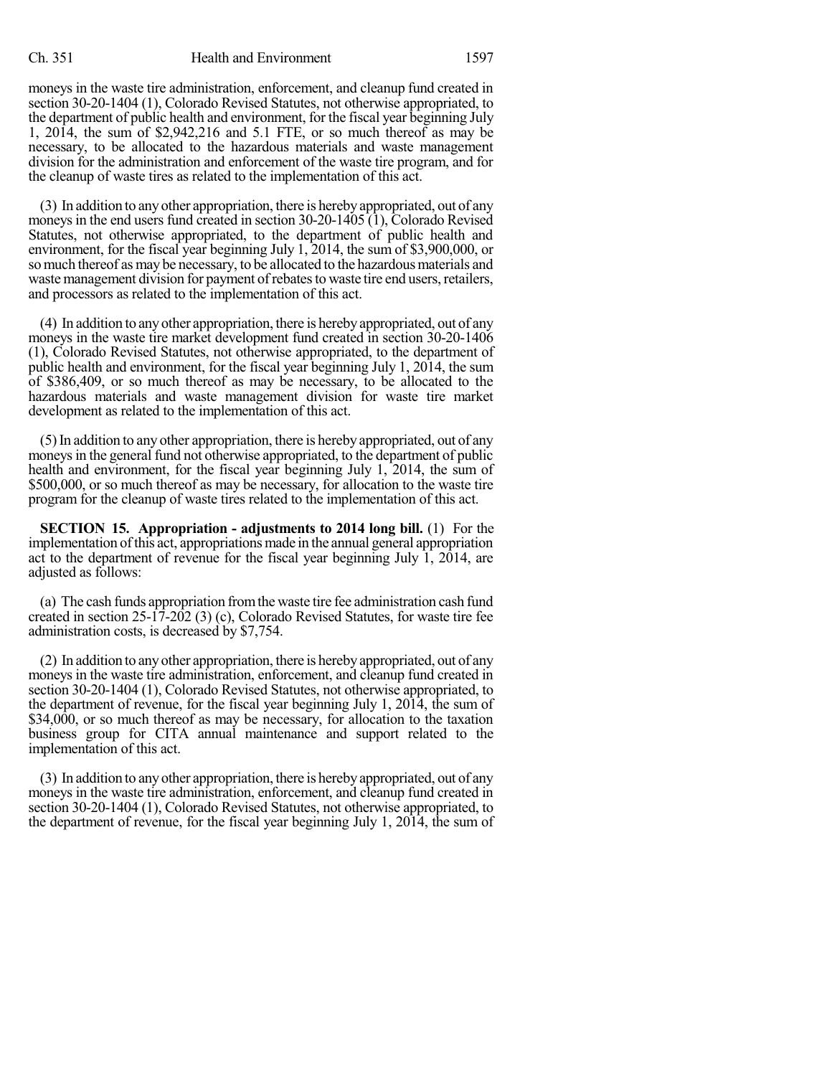moneys in the waste tire administration, enforcement, and cleanup fund created in section 30-20-1404 (1), Colorado Revised Statutes, not otherwise appropriated, to the department of public health and environment, for the fiscal year beginning July 1, 2014, the sum of \$2,942,216 and 5.1 FTE, or so much thereof as may be necessary, to be allocated to the hazardous materials and waste management division for the administration and enforcement of the waste tire program, and for the cleanup of waste tires as related to the implementation of this act.

(3) In addition to anyother appropriation, there is herebyappropriated, out of any moneys in the end users fund created in section 30-20-1405 (1), Colorado Revised Statutes, not otherwise appropriated, to the department of public health and environment, for the fiscal year beginning July 1, 2014, the sum of \$3,900,000, or so much thereof as may be necessary, to be allocated to the hazardous materials and waste management division for payment of rebates to waste tire end users, retailers, and processors as related to the implementation of this act.

(4) In addition to anyother appropriation, there is herebyappropriated, out of any moneys in the waste tire market development fund created in section 30-20-1406 (1), Colorado Revised Statutes, not otherwise appropriated, to the department of public health and environment, for the fiscal year beginning July 1, 2014, the sum of \$386,409, or so much thereof as may be necessary, to be allocated to the hazardous materials and waste management division for waste tire market development as related to the implementation of this act.

(5)In addition to any other appropriation, there is hereby appropriated, out of any moneys in the general fund not otherwise appropriated, to the department of public health and environment, for the fiscal year beginning July 1, 2014, the sum of \$500,000, or so much thereof as may be necessary, for allocation to the waste tire program for the cleanup of waste tires related to the implementation of this act.

**SECTION 15. Appropriation - adjustments to 2014 long bill.** (1) For the implementation ofthis act, appropriations made in the annual general appropriation act to the department of revenue for the fiscal year beginning July 1, 2014, are adjusted as follows:

(a) The cash funds appropriation fromthe waste tire fee administration cash fund created in section 25-17-202 (3) (c), Colorado Revised Statutes, for waste tire fee administration costs, is decreased by \$7,754.

(2) In addition to anyother appropriation, there is herebyappropriated, out of any moneys in the waste tire administration, enforcement, and cleanup fund created in section 30-20-1404 (1), Colorado Revised Statutes, not otherwise appropriated, to the department of revenue, for the fiscal year beginning July 1, 2014, the sum of \$34,000, or so much thereof as may be necessary, for allocation to the taxation business group for CITA annual maintenance and support related to the implementation of this act.

(3) In addition to anyother appropriation, there is herebyappropriated, out of any moneys in the waste tire administration, enforcement, and cleanup fund created in section 30-20-1404 (1), Colorado Revised Statutes, not otherwise appropriated, to the department of revenue, for the fiscal year beginning July 1, 2014, the sum of